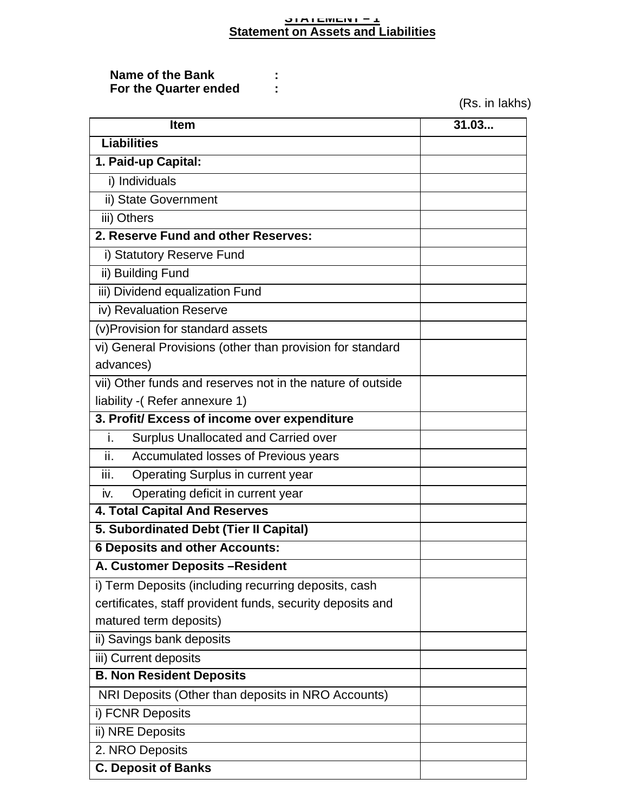#### **STATEMENT – 1 Statement on Assets and Liabilities**

#### **Name of the Bank** :<br>**For the Quarter ended** : **For the Quarter ended :**

(Rs. in lakhs)

| <b>Item</b>                                                | 31.03 |  |  |  |
|------------------------------------------------------------|-------|--|--|--|
| <b>Liabilities</b>                                         |       |  |  |  |
| 1. Paid-up Capital:                                        |       |  |  |  |
| i) Individuals                                             |       |  |  |  |
| ii) State Government                                       |       |  |  |  |
| iii) Others                                                |       |  |  |  |
| 2. Reserve Fund and other Reserves:                        |       |  |  |  |
| i) Statutory Reserve Fund                                  |       |  |  |  |
| ii) Building Fund                                          |       |  |  |  |
| iii) Dividend equalization Fund                            |       |  |  |  |
| iv) Revaluation Reserve                                    |       |  |  |  |
| (v) Provision for standard assets                          |       |  |  |  |
| vi) General Provisions (other than provision for standard  |       |  |  |  |
| advances)                                                  |       |  |  |  |
| vii) Other funds and reserves not in the nature of outside |       |  |  |  |
| liability - (Refer annexure 1)                             |       |  |  |  |
| 3. Profit/ Excess of income over expenditure               |       |  |  |  |
| Surplus Unallocated and Carried over<br>i.                 |       |  |  |  |
| ii.<br>Accumulated losses of Previous years                |       |  |  |  |
| iii.<br><b>Operating Surplus in current year</b>           |       |  |  |  |
| Operating deficit in current year<br>iv.                   |       |  |  |  |
| <b>4. Total Capital And Reserves</b>                       |       |  |  |  |
| 5. Subordinated Debt (Tier II Capital)                     |       |  |  |  |
| <b>6 Deposits and other Accounts:</b>                      |       |  |  |  |
| A. Customer Deposits-Resident                              |       |  |  |  |
| i) Term Deposits (including recurring deposits, cash       |       |  |  |  |
| certificates, staff provident funds, security deposits and |       |  |  |  |
| matured term deposits)                                     |       |  |  |  |
| ii) Savings bank deposits                                  |       |  |  |  |
| iii) Current deposits                                      |       |  |  |  |
| <b>B. Non Resident Deposits</b>                            |       |  |  |  |
| NRI Deposits (Other than deposits in NRO Accounts)         |       |  |  |  |
| i) FCNR Deposits                                           |       |  |  |  |
| ii) NRE Deposits                                           |       |  |  |  |
| 2. NRO Deposits                                            |       |  |  |  |
| <b>C. Deposit of Banks</b>                                 |       |  |  |  |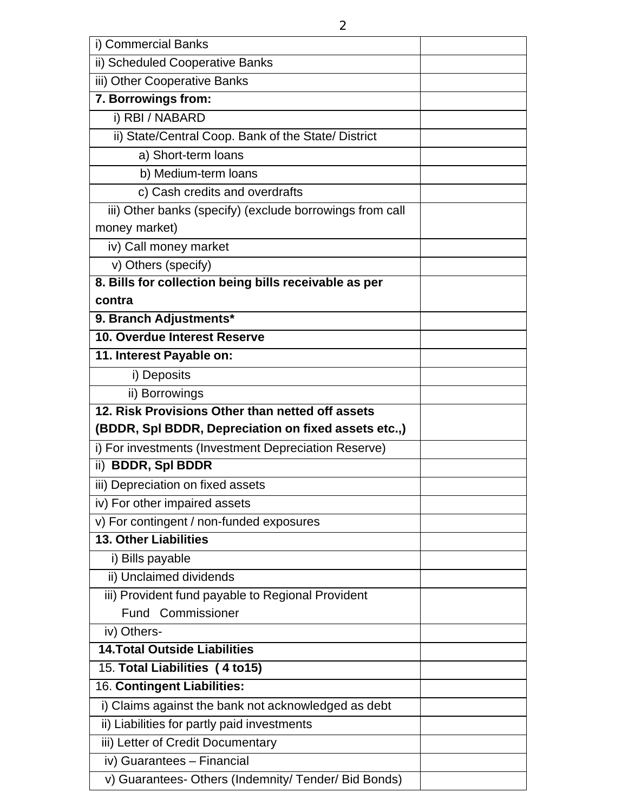| i) Commercial Banks                                      |  |
|----------------------------------------------------------|--|
| ii) Scheduled Cooperative Banks                          |  |
| iii) Other Cooperative Banks                             |  |
| 7. Borrowings from:                                      |  |
| i) RBI / NABARD                                          |  |
| ii) State/Central Coop. Bank of the State/ District      |  |
| a) Short-term loans                                      |  |
| b) Medium-term loans                                     |  |
| c) Cash credits and overdrafts                           |  |
| iii) Other banks (specify) (exclude borrowings from call |  |
| money market)                                            |  |
| iv) Call money market                                    |  |
| v) Others (specify)                                      |  |
| 8. Bills for collection being bills receivable as per    |  |
| contra                                                   |  |
| 9. Branch Adjustments*                                   |  |
| 10. Overdue Interest Reserve                             |  |
| 11. Interest Payable on:                                 |  |
| i) Deposits                                              |  |
| ii) Borrowings                                           |  |
| 12. Risk Provisions Other than netted off assets         |  |
| (BDDR, Spl BDDR, Depreciation on fixed assets etc.,)     |  |
| i) For investments (Investment Depreciation Reserve)     |  |
| <b>BDDR, Spl BDDR</b><br>$\mathsf{ii}$                   |  |
| iii) Depreciation on fixed assets                        |  |
| iv) For other impaired assets                            |  |
| v) For contingent / non-funded exposures                 |  |
| 13. Other Liabilities                                    |  |
| i) Bills payable                                         |  |
| ii) Unclaimed dividends                                  |  |
| iii) Provident fund payable to Regional Provident        |  |
| <b>Fund Commissioner</b>                                 |  |
| iv) Others-                                              |  |
| <b>14. Total Outside Liabilities</b>                     |  |
| 15. Total Liabilities (4 to15)                           |  |
| 16. Contingent Liabilities:                              |  |
| i) Claims against the bank not acknowledged as debt      |  |
| ii) Liabilities for partly paid investments              |  |
| iii) Letter of Credit Documentary                        |  |
| iv) Guarantees - Financial                               |  |
| v) Guarantees- Others (Indemnity/ Tender/ Bid Bonds)     |  |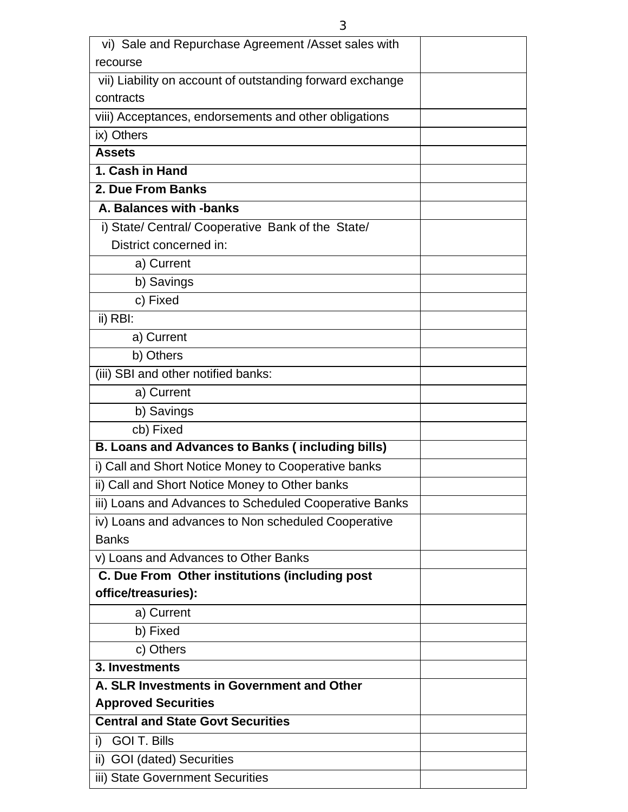| recourse<br>vii) Liability on account of outstanding forward exchange<br>contracts<br>viii) Acceptances, endorsements and other obligations<br>ix) Others<br><b>Assets</b><br>1. Cash in Hand<br>2. Due From Banks<br>A. Balances with -banks<br>i) State/ Central/ Cooperative Bank of the State/<br>District concerned in:<br>a) Current<br>b) Savings<br>c) Fixed<br>ii) RBI:<br>a) Current<br>b) Others<br>(iii) SBI and other notified banks:<br>a) Current<br>b) Savings<br>cb) Fixed<br><b>B. Loans and Advances to Banks (including bills)</b><br>i) Call and Short Notice Money to Cooperative banks<br>ii) Call and Short Notice Money to Other banks<br>iii) Loans and Advances to Scheduled Cooperative Banks<br>iv) Loans and advances to Non scheduled Cooperative<br><b>Banks</b><br>v) Loans and Advances to Other Banks<br>C. Due From Other institutions (including post |
|--------------------------------------------------------------------------------------------------------------------------------------------------------------------------------------------------------------------------------------------------------------------------------------------------------------------------------------------------------------------------------------------------------------------------------------------------------------------------------------------------------------------------------------------------------------------------------------------------------------------------------------------------------------------------------------------------------------------------------------------------------------------------------------------------------------------------------------------------------------------------------------------|
|                                                                                                                                                                                                                                                                                                                                                                                                                                                                                                                                                                                                                                                                                                                                                                                                                                                                                            |
|                                                                                                                                                                                                                                                                                                                                                                                                                                                                                                                                                                                                                                                                                                                                                                                                                                                                                            |
|                                                                                                                                                                                                                                                                                                                                                                                                                                                                                                                                                                                                                                                                                                                                                                                                                                                                                            |
|                                                                                                                                                                                                                                                                                                                                                                                                                                                                                                                                                                                                                                                                                                                                                                                                                                                                                            |
|                                                                                                                                                                                                                                                                                                                                                                                                                                                                                                                                                                                                                                                                                                                                                                                                                                                                                            |
|                                                                                                                                                                                                                                                                                                                                                                                                                                                                                                                                                                                                                                                                                                                                                                                                                                                                                            |
|                                                                                                                                                                                                                                                                                                                                                                                                                                                                                                                                                                                                                                                                                                                                                                                                                                                                                            |
|                                                                                                                                                                                                                                                                                                                                                                                                                                                                                                                                                                                                                                                                                                                                                                                                                                                                                            |
|                                                                                                                                                                                                                                                                                                                                                                                                                                                                                                                                                                                                                                                                                                                                                                                                                                                                                            |
|                                                                                                                                                                                                                                                                                                                                                                                                                                                                                                                                                                                                                                                                                                                                                                                                                                                                                            |
|                                                                                                                                                                                                                                                                                                                                                                                                                                                                                                                                                                                                                                                                                                                                                                                                                                                                                            |
|                                                                                                                                                                                                                                                                                                                                                                                                                                                                                                                                                                                                                                                                                                                                                                                                                                                                                            |
|                                                                                                                                                                                                                                                                                                                                                                                                                                                                                                                                                                                                                                                                                                                                                                                                                                                                                            |
|                                                                                                                                                                                                                                                                                                                                                                                                                                                                                                                                                                                                                                                                                                                                                                                                                                                                                            |
|                                                                                                                                                                                                                                                                                                                                                                                                                                                                                                                                                                                                                                                                                                                                                                                                                                                                                            |
|                                                                                                                                                                                                                                                                                                                                                                                                                                                                                                                                                                                                                                                                                                                                                                                                                                                                                            |
|                                                                                                                                                                                                                                                                                                                                                                                                                                                                                                                                                                                                                                                                                                                                                                                                                                                                                            |
|                                                                                                                                                                                                                                                                                                                                                                                                                                                                                                                                                                                                                                                                                                                                                                                                                                                                                            |
|                                                                                                                                                                                                                                                                                                                                                                                                                                                                                                                                                                                                                                                                                                                                                                                                                                                                                            |
|                                                                                                                                                                                                                                                                                                                                                                                                                                                                                                                                                                                                                                                                                                                                                                                                                                                                                            |
|                                                                                                                                                                                                                                                                                                                                                                                                                                                                                                                                                                                                                                                                                                                                                                                                                                                                                            |
|                                                                                                                                                                                                                                                                                                                                                                                                                                                                                                                                                                                                                                                                                                                                                                                                                                                                                            |
|                                                                                                                                                                                                                                                                                                                                                                                                                                                                                                                                                                                                                                                                                                                                                                                                                                                                                            |
|                                                                                                                                                                                                                                                                                                                                                                                                                                                                                                                                                                                                                                                                                                                                                                                                                                                                                            |
|                                                                                                                                                                                                                                                                                                                                                                                                                                                                                                                                                                                                                                                                                                                                                                                                                                                                                            |
|                                                                                                                                                                                                                                                                                                                                                                                                                                                                                                                                                                                                                                                                                                                                                                                                                                                                                            |
|                                                                                                                                                                                                                                                                                                                                                                                                                                                                                                                                                                                                                                                                                                                                                                                                                                                                                            |
|                                                                                                                                                                                                                                                                                                                                                                                                                                                                                                                                                                                                                                                                                                                                                                                                                                                                                            |
|                                                                                                                                                                                                                                                                                                                                                                                                                                                                                                                                                                                                                                                                                                                                                                                                                                                                                            |
| office/treasuries):                                                                                                                                                                                                                                                                                                                                                                                                                                                                                                                                                                                                                                                                                                                                                                                                                                                                        |
| a) Current                                                                                                                                                                                                                                                                                                                                                                                                                                                                                                                                                                                                                                                                                                                                                                                                                                                                                 |
| b) Fixed                                                                                                                                                                                                                                                                                                                                                                                                                                                                                                                                                                                                                                                                                                                                                                                                                                                                                   |
| c) Others<br>3. Investments                                                                                                                                                                                                                                                                                                                                                                                                                                                                                                                                                                                                                                                                                                                                                                                                                                                                |
| A. SLR Investments in Government and Other                                                                                                                                                                                                                                                                                                                                                                                                                                                                                                                                                                                                                                                                                                                                                                                                                                                 |
| <b>Approved Securities</b>                                                                                                                                                                                                                                                                                                                                                                                                                                                                                                                                                                                                                                                                                                                                                                                                                                                                 |
| <b>Central and State Govt Securities</b>                                                                                                                                                                                                                                                                                                                                                                                                                                                                                                                                                                                                                                                                                                                                                                                                                                                   |
| <b>GOI T. Bills</b><br>i)                                                                                                                                                                                                                                                                                                                                                                                                                                                                                                                                                                                                                                                                                                                                                                                                                                                                  |
| ii) GOI (dated) Securities                                                                                                                                                                                                                                                                                                                                                                                                                                                                                                                                                                                                                                                                                                                                                                                                                                                                 |
| iii) State Government Securities                                                                                                                                                                                                                                                                                                                                                                                                                                                                                                                                                                                                                                                                                                                                                                                                                                                           |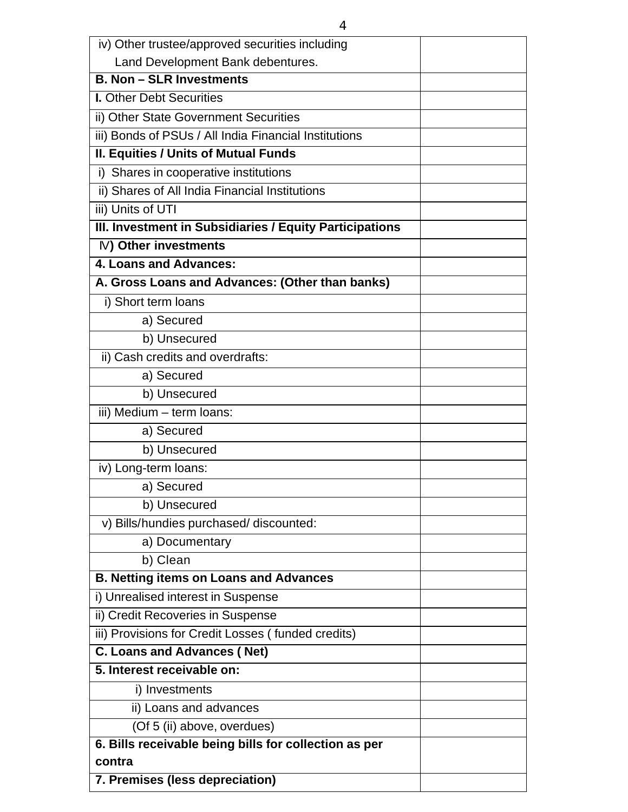| iv) Other trustee/approved securities including         |  |
|---------------------------------------------------------|--|
| Land Development Bank debentures.                       |  |
| <b>B. Non - SLR Investments</b>                         |  |
| <b>I. Other Debt Securities</b>                         |  |
| ii) Other State Government Securities                   |  |
| iii) Bonds of PSUs / All India Financial Institutions   |  |
| <b>II. Equities / Units of Mutual Funds</b>             |  |
| i) Shares in cooperative institutions                   |  |
| ii) Shares of All India Financial Institutions          |  |
| iii) Units of UTI                                       |  |
| III. Investment in Subsidiaries / Equity Participations |  |
| IV) Other investments                                   |  |
| 4. Loans and Advances:                                  |  |
| A. Gross Loans and Advances: (Other than banks)         |  |
| i) Short term loans                                     |  |
| a) Secured                                              |  |
| b) Unsecured                                            |  |
| ii) Cash credits and overdrafts:                        |  |
| a) Secured                                              |  |
| b) Unsecured                                            |  |
| iii) Medium - term loans:                               |  |
| a) Secured                                              |  |
| b) Unsecured                                            |  |
| iv) Long-term loans:                                    |  |
| a) Secured                                              |  |
| b) Unsecured                                            |  |
| v) Bills/hundies purchased/discounted:                  |  |
| a) Documentary                                          |  |
| b) Clean                                                |  |
| <b>B. Netting items on Loans and Advances</b>           |  |
| i) Unrealised interest in Suspense                      |  |
| ii) Credit Recoveries in Suspense                       |  |
| iii) Provisions for Credit Losses (funded credits)      |  |
| <b>C. Loans and Advances (Net)</b>                      |  |
| 5. Interest receivable on:                              |  |
| i) Investments                                          |  |
| ii) Loans and advances                                  |  |
| (Of 5 (ii) above, overdues)                             |  |
| 6. Bills receivable being bills for collection as per   |  |
| contra                                                  |  |
| 7. Premises (less depreciation)                         |  |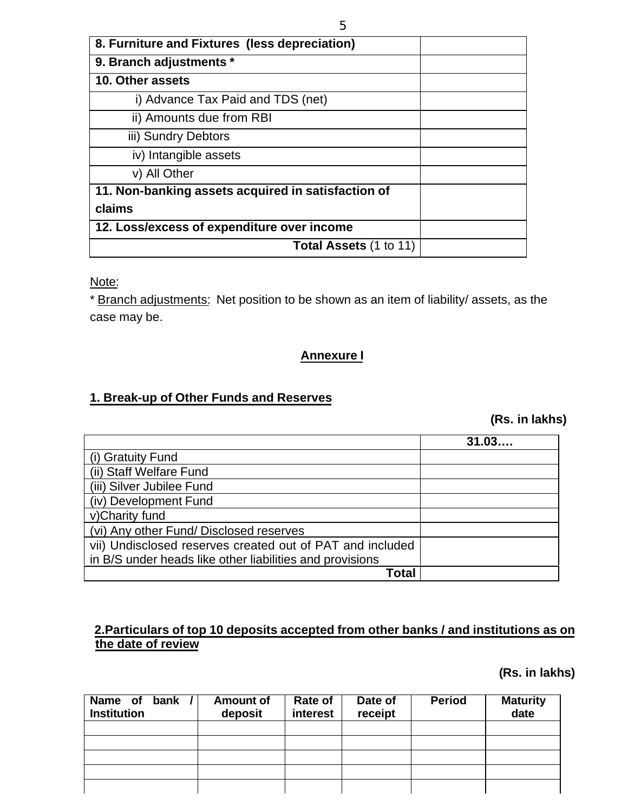| 8. Furniture and Fixtures (less depreciation)      |  |
|----------------------------------------------------|--|
| 9. Branch adjustments *                            |  |
| 10. Other assets                                   |  |
| i) Advance Tax Paid and TDS (net)                  |  |
| ii) Amounts due from RBI                           |  |
| iii) Sundry Debtors                                |  |
| iv) Intangible assets                              |  |
| v) All Other                                       |  |
| 11. Non-banking assets acquired in satisfaction of |  |
| claims                                             |  |
| 12. Loss/excess of expenditure over income         |  |
| <b>Total Assets (1 to 11)</b>                      |  |

Note:

\* Branch adjustments: Net position to be shown as an item of liability/ assets, as the case may be.

### **Annexure I**

### **1. Break-up of Other Funds and Reserves**

 **(Rs. in lakhs)**

|                                                           | 31.03 |
|-----------------------------------------------------------|-------|
| (i) Gratuity Fund                                         |       |
| (ii) Staff Welfare Fund                                   |       |
| (iii) Silver Jubilee Fund                                 |       |
| (iv) Development Fund                                     |       |
| v)Charity fund                                            |       |
| (vi) Any other Fund/ Disclosed reserves                   |       |
| vii) Undisclosed reserves created out of PAT and included |       |
| in B/S under heads like other liabilities and provisions  |       |
| Total                                                     |       |

### **2.Particulars of top 10 deposits accepted from other banks / and institutions as on the date of review**

### **(Rs. in lakhs)**

| Name of bank<br><b>Institution</b> | <b>Amount of</b><br>deposit | Rate of<br>interest | Date of<br>receipt | <b>Period</b> | <b>Maturity</b><br>date |
|------------------------------------|-----------------------------|---------------------|--------------------|---------------|-------------------------|
|                                    |                             |                     |                    |               |                         |
|                                    |                             |                     |                    |               |                         |
|                                    |                             |                     |                    |               |                         |
|                                    |                             |                     |                    |               |                         |
|                                    |                             |                     |                    |               |                         |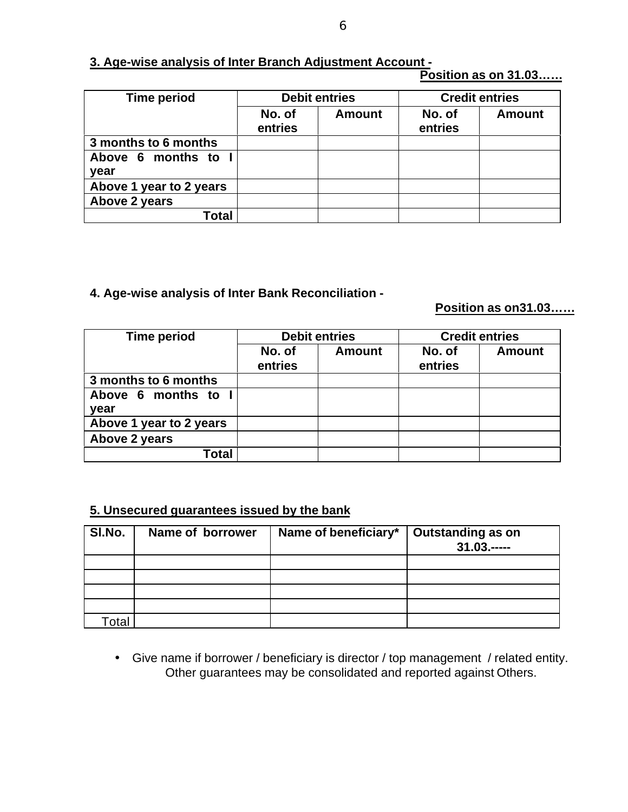#### 6

### **3. Age-wise analysis of Inter Branch Adjustment Account -**

 **Position as on 31.03……**

| <b>Time period</b>          | <b>Debit entries</b> |               | <b>Credit entries</b> |               |
|-----------------------------|----------------------|---------------|-----------------------|---------------|
|                             | No. of<br>entries    | <b>Amount</b> | No. of<br>entries     | <b>Amount</b> |
| 3 months to 6 months        |                      |               |                       |               |
| Above 6 months to I<br>year |                      |               |                       |               |
| Above 1 year to 2 years     |                      |               |                       |               |
| Above 2 years               |                      |               |                       |               |
| Total                       |                      |               |                       |               |

**4. Age-wise analysis of Inter Bank Reconciliation -**

 **Position as on31.03……**

| <b>Time period</b>          | <b>Debit entries</b> |               | <b>Credit entries</b> |               |
|-----------------------------|----------------------|---------------|-----------------------|---------------|
|                             | No. of<br>entries    | <b>Amount</b> | No. of<br>entries     | <b>Amount</b> |
| 3 months to 6 months        |                      |               |                       |               |
| Above 6 months to I<br>year |                      |               |                       |               |
| Above 1 year to 2 years     |                      |               |                       |               |
| Above 2 years               |                      |               |                       |               |
| Total                       |                      |               |                       |               |

### **5. Unsecured guarantees issued by the bank**

| SI.No.       | Name of borrower | Name of beneficiary* | Outstanding as on<br>$31.03$ |
|--------------|------------------|----------------------|------------------------------|
|              |                  |                      |                              |
|              |                  |                      |                              |
|              |                  |                      |                              |
|              |                  |                      |                              |
| <b>Fotal</b> |                  |                      |                              |

• Give name if borrower / beneficiary is director / top management / related entity. Other guarantees may be consolidated and reported against Others.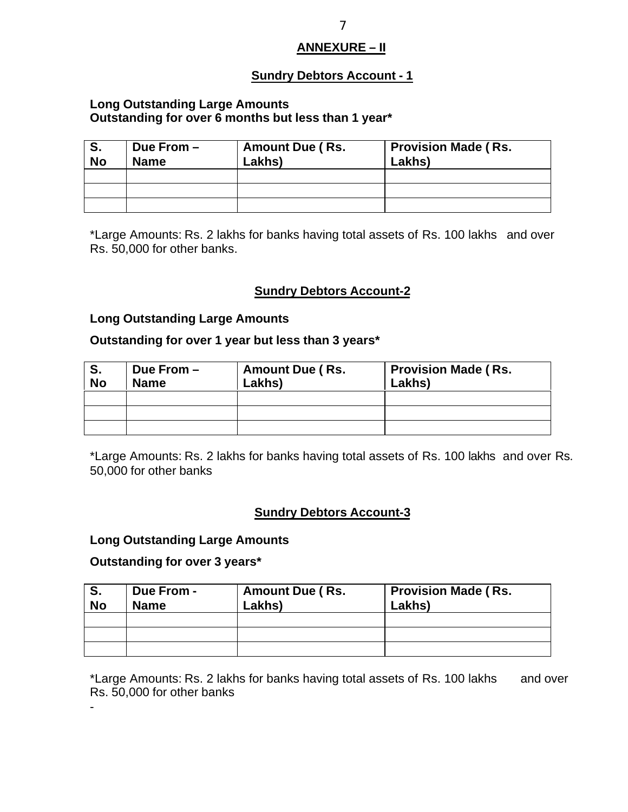### **ANNEXURE – II**

### **Sundry Debtors Account - 1**

#### **Long Outstanding Large Amounts Outstanding for over 6 months but less than 1 year\***

| S.<br><b>No</b> | Due From $-$<br><b>Name</b> | <b>Amount Due (Rs.</b><br>Lakhs) | <b>Provision Made (Rs.</b><br>Lakhs) |
|-----------------|-----------------------------|----------------------------------|--------------------------------------|
|                 |                             |                                  |                                      |
|                 |                             |                                  |                                      |
|                 |                             |                                  |                                      |

\*Large Amounts: Rs. 2 lakhs for banks having total assets of Rs. 100 lakhs and over Rs. 50,000 for other banks.

### **Sundry Debtors Account-2**

#### **Long Outstanding Large Amounts**

### **Outstanding for over 1 year but less than 3 years\***

| <b>No</b> | Due From $-$<br><b>Name</b> | <b>Amount Due (Rs.</b><br>Lakhs) | <b>Provision Made (Rs.</b><br>Lakhs) |
|-----------|-----------------------------|----------------------------------|--------------------------------------|
|           |                             |                                  |                                      |
|           |                             |                                  |                                      |
|           |                             |                                  |                                      |

\*Large Amounts: Rs. 2 lakhs for banks having total assets of Rs. 100 lakhs and over Rs. 50,000 for other banks

#### **Sundry Debtors Account-3**

#### **Long Outstanding Large Amounts**

#### **Outstanding for over 3 years\***

| S.<br><b>No</b> | Due From -<br><b>Name</b> | <b>Amount Due (Rs.</b><br>Lakhs) | <b>Provision Made (Rs.</b><br>Lakhs) |
|-----------------|---------------------------|----------------------------------|--------------------------------------|
|                 |                           |                                  |                                      |
|                 |                           |                                  |                                      |
|                 |                           |                                  |                                      |

\*Large Amounts: Rs. 2 lakhs for banks having total assets of Rs. 100 lakhs and over Rs. 50,000 for other banks

-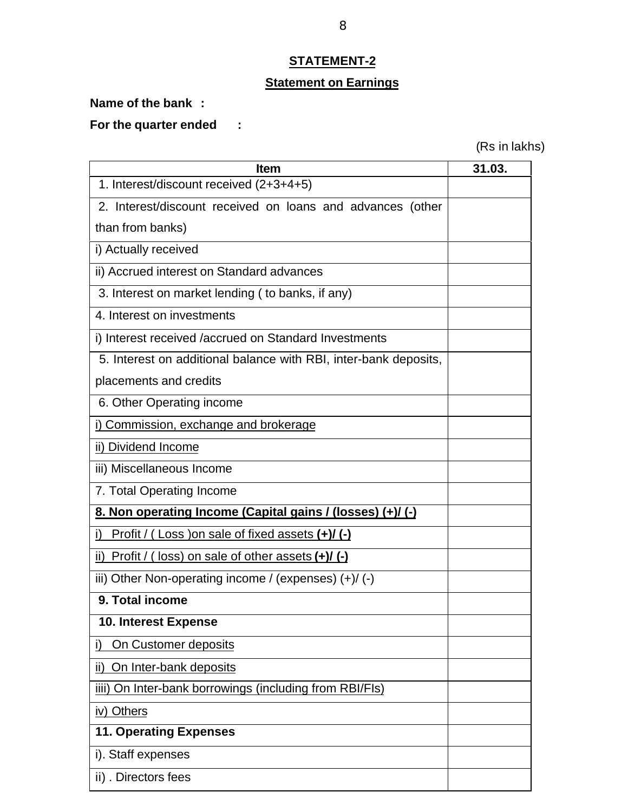# **STATEMENT-2**

### **Statement on Earnings**

**Name of the bank :**

**For the quarter ended :**

(Rs in lakhs)

| <b>Item</b>                                                      | 31.03. |
|------------------------------------------------------------------|--------|
| 1. Interest/discount received (2+3+4+5)                          |        |
| 2. Interest/discount received on loans and advances (other       |        |
| than from banks)                                                 |        |
| i) Actually received                                             |        |
| ii) Accrued interest on Standard advances                        |        |
| 3. Interest on market lending (to banks, if any)                 |        |
| 4. Interest on investments                                       |        |
| i) Interest received /accrued on Standard Investments            |        |
| 5. Interest on additional balance with RBI, inter-bank deposits, |        |
| placements and credits                                           |        |
| 6. Other Operating income                                        |        |
| i) Commission, exchange and brokerage                            |        |
| ii) Dividend Income                                              |        |
| iii) Miscellaneous Income                                        |        |
| 7. Total Operating Income                                        |        |
| 8. Non operating Income (Capital gains / (losses) (+)/ (-)       |        |
| Profit / (Loss ) on sale of fixed assets $(+)/(-)$               |        |
| ii) Profit / (loss) on sale of other assets $(+)/(-)$            |        |
| iii) Other Non-operating income / (expenses) $(+)/$ (-)          |        |
| 9. Total income                                                  |        |
| 10. Interest Expense                                             |        |
| On Customer deposits<br>i)                                       |        |
| On Inter-bank deposits<br>ii)                                    |        |
| iiii) On Inter-bank borrowings (including from RBI/FIs)          |        |
| iv) Others                                                       |        |
| <b>11. Operating Expenses</b>                                    |        |
| i). Staff expenses                                               |        |
| ii). Directors fees                                              |        |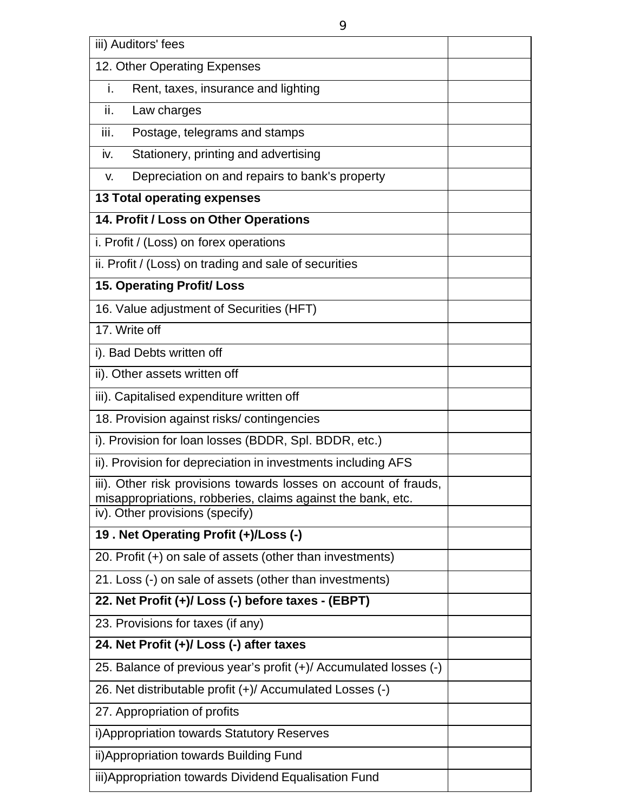| iii) Auditors' fees                                                                                                                                                |  |
|--------------------------------------------------------------------------------------------------------------------------------------------------------------------|--|
| 12. Other Operating Expenses                                                                                                                                       |  |
| Rent, taxes, insurance and lighting<br>i.                                                                                                                          |  |
| ii.<br>Law charges                                                                                                                                                 |  |
| Postage, telegrams and stamps<br>iii.                                                                                                                              |  |
| Stationery, printing and advertising<br>iv.                                                                                                                        |  |
| Depreciation on and repairs to bank's property<br>V.                                                                                                               |  |
| <b>13 Total operating expenses</b>                                                                                                                                 |  |
| 14. Profit / Loss on Other Operations                                                                                                                              |  |
| i. Profit / (Loss) on forex operations                                                                                                                             |  |
| ii. Profit / (Loss) on trading and sale of securities                                                                                                              |  |
| <b>15. Operating Profit/Loss</b>                                                                                                                                   |  |
| 16. Value adjustment of Securities (HFT)                                                                                                                           |  |
| 17. Write off                                                                                                                                                      |  |
| i). Bad Debts written off                                                                                                                                          |  |
| ii). Other assets written off                                                                                                                                      |  |
| iii). Capitalised expenditure written off                                                                                                                          |  |
| 18. Provision against risks/contingencies                                                                                                                          |  |
| i). Provision for loan losses (BDDR, Spl. BDDR, etc.)                                                                                                              |  |
| ii). Provision for depreciation in investments including AFS                                                                                                       |  |
| iii). Other risk provisions towards losses on account of frauds,<br>misappropriations, robberies, claims against the bank, etc.<br>iv). Other provisions (specify) |  |
| 19. Net Operating Profit (+)/Loss (-)                                                                                                                              |  |
| 20. Profit (+) on sale of assets (other than investments)                                                                                                          |  |
| 21. Loss (-) on sale of assets (other than investments)                                                                                                            |  |
| 22. Net Profit (+)/ Loss (-) before taxes - (EBPT)                                                                                                                 |  |
| 23. Provisions for taxes (if any)                                                                                                                                  |  |
| 24. Net Profit (+)/ Loss (-) after taxes                                                                                                                           |  |
| 25. Balance of previous year's profit (+)/ Accumulated losses (-)                                                                                                  |  |
| 26. Net distributable profit (+)/ Accumulated Losses (-)                                                                                                           |  |
| 27. Appropriation of profits                                                                                                                                       |  |
| i) Appropriation towards Statutory Reserves                                                                                                                        |  |
| ii) Appropriation towards Building Fund                                                                                                                            |  |
| iii) Appropriation towards Dividend Equalisation Fund                                                                                                              |  |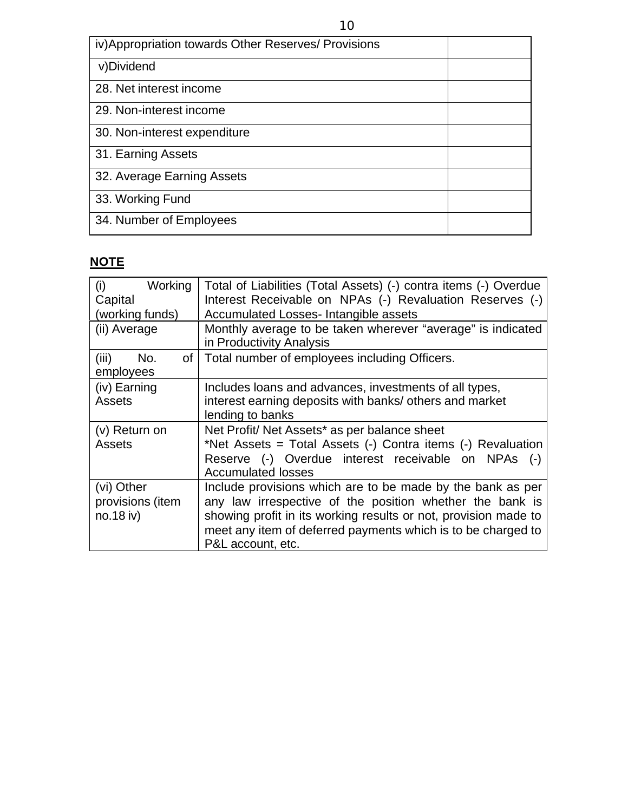| iv) Appropriation towards Other Reserves/ Provisions |  |
|------------------------------------------------------|--|
| v)Dividend                                           |  |
| 28. Net interest income                              |  |
| 29. Non-interest income                              |  |
| 30. Non-interest expenditure                         |  |
| 31. Earning Assets                                   |  |
| 32. Average Earning Assets                           |  |
| 33. Working Fund                                     |  |
| 34. Number of Employees                              |  |

# **NOTE**

| Working<br>(i)<br>Capital                   | Total of Liabilities (Total Assets) (-) contra items (-) Overdue<br>Interest Receivable on NPAs (-) Revaluation Reserves (-)                                                                                                                                                   |
|---------------------------------------------|--------------------------------------------------------------------------------------------------------------------------------------------------------------------------------------------------------------------------------------------------------------------------------|
| (working funds)                             | Accumulated Losses- Intangible assets                                                                                                                                                                                                                                          |
| (ii) Average                                | Monthly average to be taken wherever "average" is indicated<br>in Productivity Analysis                                                                                                                                                                                        |
| (iii)<br>No.<br>of I<br>employees           | Total number of employees including Officers.                                                                                                                                                                                                                                  |
| (iv) Earning<br><b>Assets</b>               | Includes loans and advances, investments of all types,<br>interest earning deposits with banks/ others and market<br>lending to banks                                                                                                                                          |
| (v) Return on<br><b>Assets</b>              | Net Profit/ Net Assets* as per balance sheet<br>*Net Assets = Total Assets (-) Contra items (-) Revaluation<br>Reserve (-) Overdue interest receivable on NPAs<br>$(-)$<br><b>Accumulated losses</b>                                                                           |
| (vi) Other<br>provisions (item<br>no.18 iv) | Include provisions which are to be made by the bank as per<br>any law irrespective of the position whether the bank is<br>showing profit in its working results or not, provision made to<br>meet any item of deferred payments which is to be charged to<br>P&L account, etc. |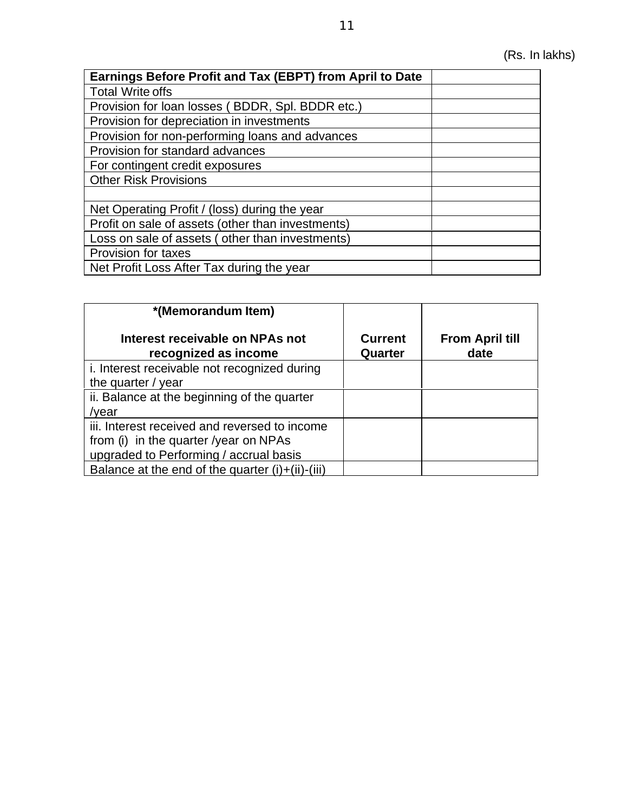| Earnings Before Profit and Tax (EBPT) from April to Date |  |
|----------------------------------------------------------|--|
| <b>Total Write offs</b>                                  |  |
| Provision for loan losses (BDDR, Spl. BDDR etc.)         |  |
| Provision for depreciation in investments                |  |
| Provision for non-performing loans and advances          |  |
| Provision for standard advances                          |  |
| For contingent credit exposures                          |  |
| <b>Other Risk Provisions</b>                             |  |
|                                                          |  |
| Net Operating Profit / (loss) during the year            |  |
| Profit on sale of assets (other than investments)        |  |
| Loss on sale of assets (other than investments)          |  |
| Provision for taxes                                      |  |
| Net Profit Loss After Tax during the year                |  |

| *(Memorandum Item)                                                                                                               |                           |                                |
|----------------------------------------------------------------------------------------------------------------------------------|---------------------------|--------------------------------|
| Interest receivable on NPAs not<br>recognized as income                                                                          | <b>Current</b><br>Quarter | <b>From April till</b><br>date |
| i. Interest receivable not recognized during<br>the quarter / year                                                               |                           |                                |
| ii. Balance at the beginning of the quarter<br>/year                                                                             |                           |                                |
| iii. Interest received and reversed to income<br>from (i) in the quarter /year on NPAs<br>upgraded to Performing / accrual basis |                           |                                |
| Balance at the end of the quarter $(i)+(ii)-(iii)$                                                                               |                           |                                |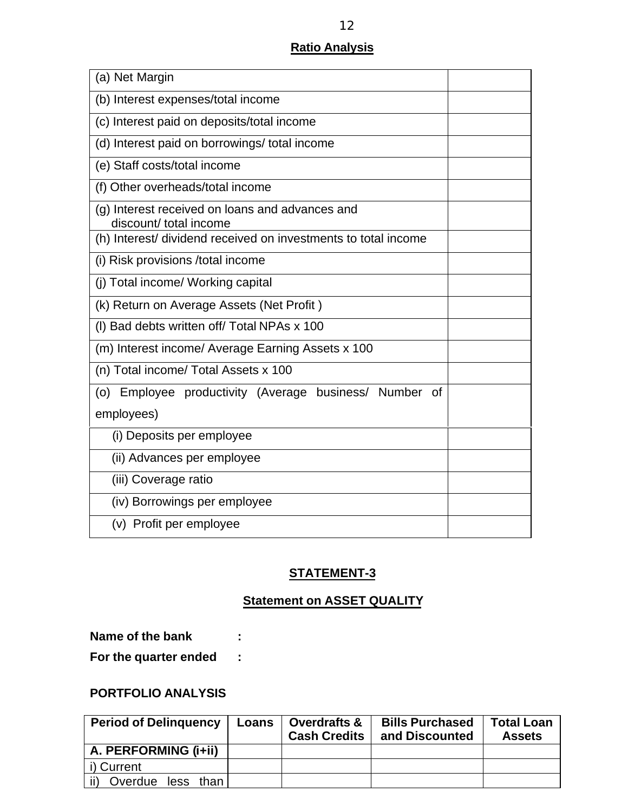### **Ratio Analysis**

| (a) Net Margin                                                            |  |
|---------------------------------------------------------------------------|--|
| (b) Interest expenses/total income                                        |  |
| (c) Interest paid on deposits/total income                                |  |
| (d) Interest paid on borrowings/total income                              |  |
| (e) Staff costs/total income                                              |  |
| (f) Other overheads/total income                                          |  |
| (g) Interest received on loans and advances and<br>discount/ total income |  |
| (h) Interest/ dividend received on investments to total income            |  |
| (i) Risk provisions /total income                                         |  |
| (j) Total income/ Working capital                                         |  |
| (k) Return on Average Assets (Net Profit)                                 |  |
| (I) Bad debts written off/ Total NPAs x 100                               |  |
| (m) Interest income/ Average Earning Assets x 100                         |  |
| (n) Total income/ Total Assets x 100                                      |  |
| (o) Employee productivity (Average business/ Number of                    |  |
| employees)                                                                |  |
| (i) Deposits per employee                                                 |  |
| (ii) Advances per employee                                                |  |
| (iii) Coverage ratio                                                      |  |
| (iv) Borrowings per employee                                              |  |
| (v) Profit per employee                                                   |  |

### **STATEMENT-3**

### **Statement on ASSET QUALITY**

| Name of the bank      |  |
|-----------------------|--|
| For the quarter ended |  |

### **PORTFOLIO ANALYSIS**

| <b>Period of Delinguency</b> | Loans | <b>Overdrafts &amp;</b><br><b>Cash Credits</b> | <b>Bills Purchased</b><br>and Discounted | <b>Total Loan</b><br><b>Assets</b> |
|------------------------------|-------|------------------------------------------------|------------------------------------------|------------------------------------|
| A. PERFORMING (i+ii)         |       |                                                |                                          |                                    |
| i) Current                   |       |                                                |                                          |                                    |
| Overdue less than            |       |                                                |                                          |                                    |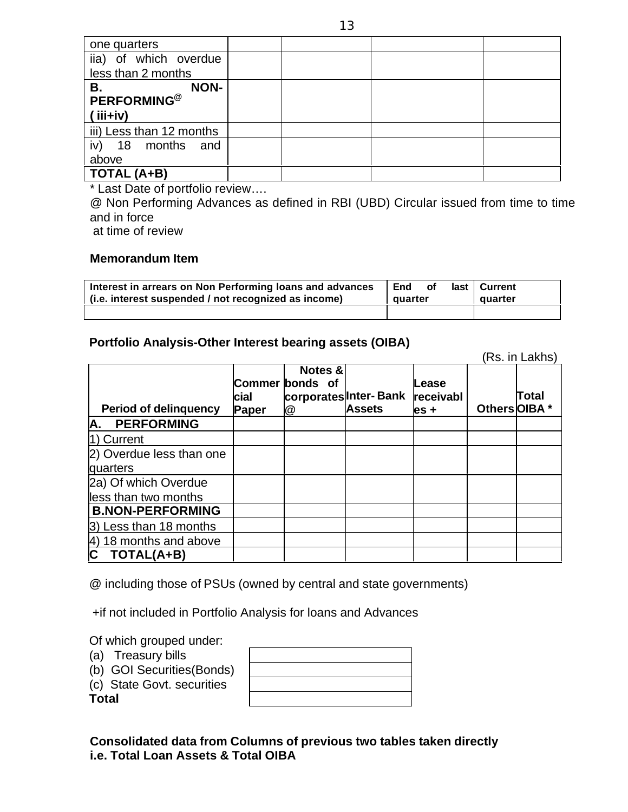| one quarters             |  |  |
|--------------------------|--|--|
| iia) of which overdue    |  |  |
| less than 2 months       |  |  |
| <b>NON-</b><br>В.        |  |  |
| PERFORMING <sup>@</sup>  |  |  |
| $(iii+iv)$               |  |  |
| iii) Less than 12 months |  |  |
| iv)<br>18 months and     |  |  |
| above                    |  |  |
| TOTAL (A+B)              |  |  |

\* Last Date of portfolio review….

@ Non Performing Advances as defined in RBI (UBD) Circular issued from time to time and in force

at time of review

#### **Memorandum Item**

| Interest in arrears on Non Performing loans and advances<br>(i.e. interest suspended / not recognized as income) | End<br>οf<br>auarter | last   Current<br>quarter |
|------------------------------------------------------------------------------------------------------------------|----------------------|---------------------------|
|                                                                                                                  |                      |                           |

#### **Portfolio Analysis-Other Interest bearing assets (OIBA)**

|                              |               |                                 |                                        |                            |               | (Rs. in Lakhs) |
|------------------------------|---------------|---------------------------------|----------------------------------------|----------------------------|---------------|----------------|
| <b>Period of delinguency</b> | cial<br>Paper | Notes &<br>Commer bonds of<br>@ | corporates Inter-Bank<br><b>Assets</b> | Lease<br>receivabl<br>es + | Others OIBA * | Total          |
| <b>PERFORMING</b><br>A.      |               |                                 |                                        |                            |               |                |
| 1) Current                   |               |                                 |                                        |                            |               |                |
| 2) Overdue less than one     |               |                                 |                                        |                            |               |                |
| quarters                     |               |                                 |                                        |                            |               |                |
| 2a) Of which Overdue         |               |                                 |                                        |                            |               |                |
| less than two months         |               |                                 |                                        |                            |               |                |
| <b>B.NON-PERFORMING</b>      |               |                                 |                                        |                            |               |                |
| 3) Less than 18 months       |               |                                 |                                        |                            |               |                |
| 18 months and above<br>4)    |               |                                 |                                        |                            |               |                |
| <b>TOTAL(A+B)</b>            |               |                                 |                                        |                            |               |                |

@ including those of PSUs (owned by central and state governments)

+if not included in Portfolio Analysis for loans and Advances

 $\Gamma$ 

Of which grouped under:

- (a) Treasury bills
- (b) GOI Securities(Bonds)
- (c) State Govt. securities

**Total**

 $\overline{\mathbb{L}}$ 

**Consolidated data from Columns of previous two tables taken directly i.e. Total Loan Assets & Total OIBA**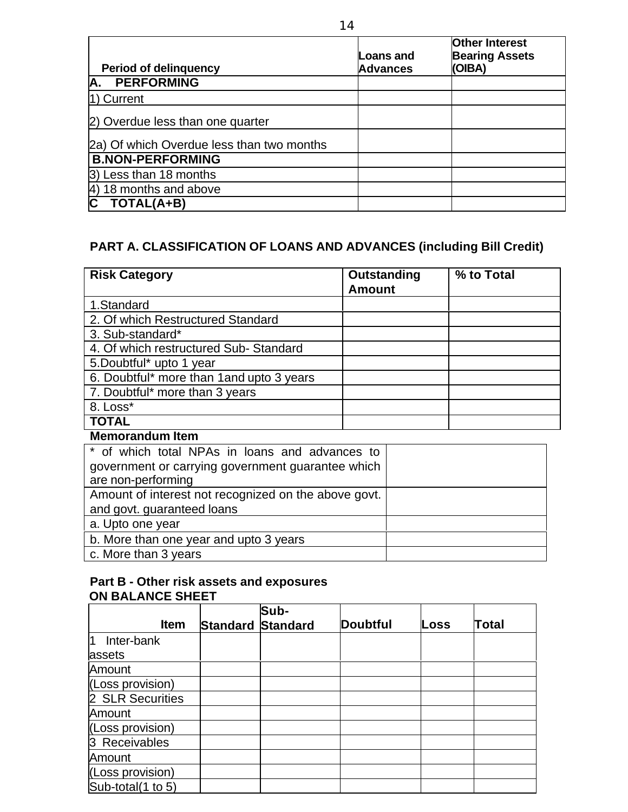|                                           | Loans and       | <b>Other Interest</b><br><b>Bearing Assets</b> |
|-------------------------------------------|-----------------|------------------------------------------------|
| <b>Period of delinguency</b>              | <b>Advances</b> | (OIBA)                                         |
| <b>PERFORMING</b><br>Α.                   |                 |                                                |
| 1) Current                                |                 |                                                |
| 2) Overdue less than one quarter          |                 |                                                |
| 2a) Of which Overdue less than two months |                 |                                                |
| <b>B.NON-PERFORMING</b>                   |                 |                                                |
| 3) Less than 18 months                    |                 |                                                |
| 18 months and above<br>4)                 |                 |                                                |
| TOTAL(A+B)                                |                 |                                                |

### **PART A. CLASSIFICATION OF LOANS AND ADVANCES (including Bill Credit)**

| <b>Risk Category</b>                      | Outstanding   | % to Total |
|-------------------------------------------|---------------|------------|
|                                           | <b>Amount</b> |            |
| 1.Standard                                |               |            |
| 2. Of which Restructured Standard         |               |            |
| 3. Sub-standard*                          |               |            |
| 4. Of which restructured Sub-Standard     |               |            |
| 5.Doubtful* upto 1 year                   |               |            |
| 6. Doubtful* more than 1 and upto 3 years |               |            |
| 7. Doubtful* more than 3 years            |               |            |
| 8. Loss*                                  |               |            |
| <b>TOTAL</b>                              |               |            |

#### **Memorandum Item**

| * of which total NPAs in loans and advances to       |  |
|------------------------------------------------------|--|
| government or carrying government guarantee which    |  |
| are non-performing                                   |  |
| Amount of interest not recognized on the above govt. |  |
| and govt. guaranteed loans                           |  |
| a. Upto one year                                     |  |
| b. More than one year and upto 3 years               |  |
| c. More than 3 years                                 |  |

### **Part B - Other risk assets and exposures ON BALANCE SHEET**

|                   |                 | Sub-     |                 |      |       |
|-------------------|-----------------|----------|-----------------|------|-------|
| <b>Item</b>       | <b>Standard</b> | Standard | <b>Doubtful</b> | Loss | Total |
| l1<br>Inter-bank  |                 |          |                 |      |       |
| assets            |                 |          |                 |      |       |
| Amount            |                 |          |                 |      |       |
| (Loss provision)  |                 |          |                 |      |       |
| 2 SLR Securities  |                 |          |                 |      |       |
| Amount            |                 |          |                 |      |       |
| (Loss provision)  |                 |          |                 |      |       |
| 3 Receivables     |                 |          |                 |      |       |
| Amount            |                 |          |                 |      |       |
| (Loss provision)  |                 |          |                 |      |       |
| Sub-total(1 to 5) |                 |          |                 |      |       |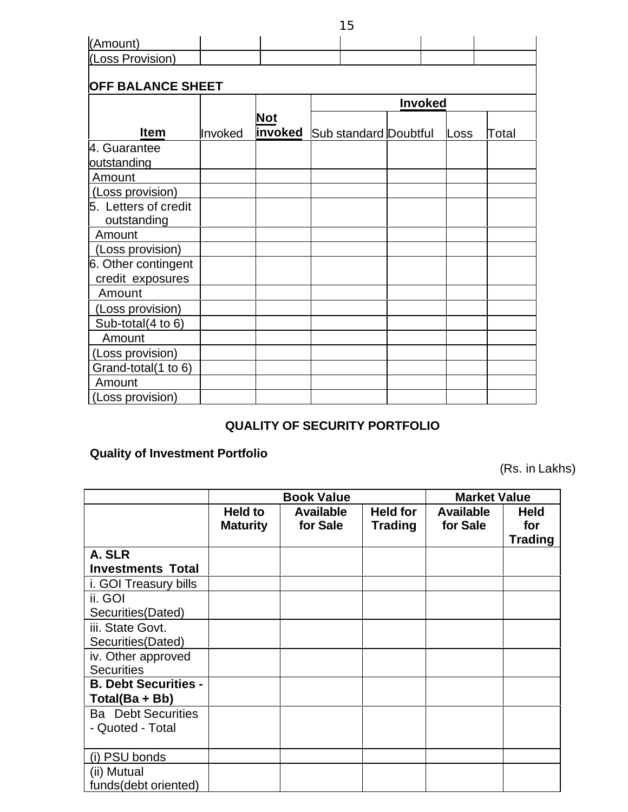| (Amount)                 |         |                               |  |                |      |       |
|--------------------------|---------|-------------------------------|--|----------------|------|-------|
| (Loss Provision)         |         |                               |  |                |      |       |
|                          |         |                               |  |                |      |       |
| <b>OFF BALANCE SHEET</b> |         |                               |  |                |      |       |
|                          |         |                               |  | <b>Invoked</b> |      |       |
|                          |         | <b>Not</b>                    |  |                |      |       |
| <b>Item</b>              | Invoked | invoked Sub standard Doubtful |  |                | Loss | Total |
| 4. Guarantee             |         |                               |  |                |      |       |
| outstanding              |         |                               |  |                |      |       |
| Amount                   |         |                               |  |                |      |       |
| (Loss provision)         |         |                               |  |                |      |       |
| 5. Letters of credit     |         |                               |  |                |      |       |
| outstanding              |         |                               |  |                |      |       |
| Amount                   |         |                               |  |                |      |       |
| (Loss provision)         |         |                               |  |                |      |       |
| 6. Other contingent      |         |                               |  |                |      |       |
| credit exposures         |         |                               |  |                |      |       |
| Amount                   |         |                               |  |                |      |       |
| (Loss provision)         |         |                               |  |                |      |       |
| Sub-total(4 to 6)        |         |                               |  |                |      |       |
| Amount                   |         |                               |  |                |      |       |
| (Loss provision)         |         |                               |  |                |      |       |
| Grand-total(1 to 6)      |         |                               |  |                |      |       |
| Amount                   |         |                               |  |                |      |       |
| (Loss provision)         |         |                               |  |                |      |       |

### **QUALITY OF SECURITY PORTFOLIO**

# **Quality of Investment Portfolio**

(Rs. in Lakhs)

|                                               |                            | <b>Book Value</b>            | <b>Market Value</b>               |                              |                                      |
|-----------------------------------------------|----------------------------|------------------------------|-----------------------------------|------------------------------|--------------------------------------|
|                                               | Held to<br><b>Maturity</b> | <b>Available</b><br>for Sale | <b>Held for</b><br><b>Trading</b> | <b>Available</b><br>for Sale | <b>Held</b><br>for<br><b>Trading</b> |
| A. SLR<br><b>Investments Total</b>            |                            |                              |                                   |                              |                                      |
| i. GOI Treasury bills                         |                            |                              |                                   |                              |                                      |
| ii. GOI<br>Securities (Dated)                 |                            |                              |                                   |                              |                                      |
| iii. State Govt.<br>Securities (Dated)        |                            |                              |                                   |                              |                                      |
| iv. Other approved<br><b>Securities</b>       |                            |                              |                                   |                              |                                      |
| <b>B. Debt Securities -</b><br>Total(Ba + Bb) |                            |                              |                                   |                              |                                      |
| <b>Ba</b> Debt Securities<br>- Quoted - Total |                            |                              |                                   |                              |                                      |
| (i) PSU bonds                                 |                            |                              |                                   |                              |                                      |
| (ii) Mutual<br>funds(debt oriented)           |                            |                              |                                   |                              |                                      |

15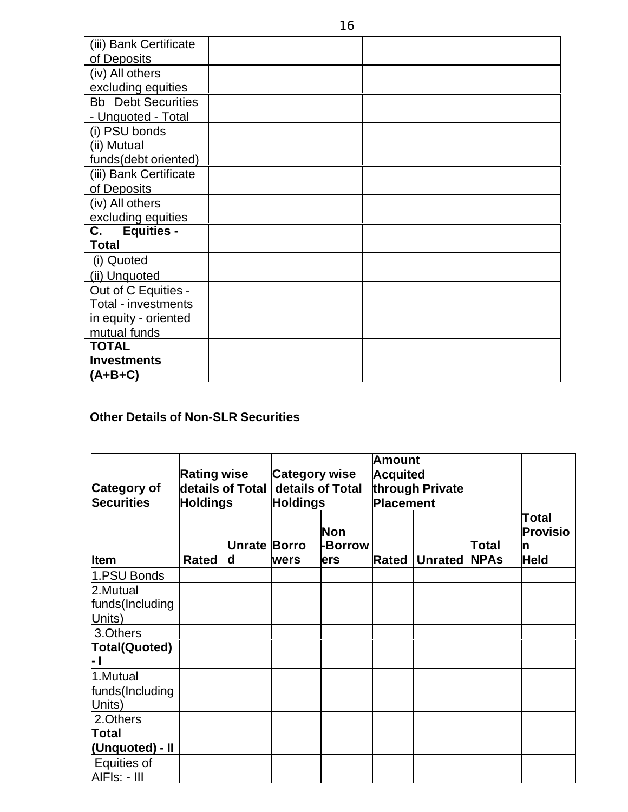| (iii) Bank Certificate    |  |  |  |
|---------------------------|--|--|--|
| of Deposits               |  |  |  |
| (iv) All others           |  |  |  |
| excluding equities        |  |  |  |
| <b>Bb</b> Debt Securities |  |  |  |
| - Unquoted - Total        |  |  |  |
| (i) PSU bonds             |  |  |  |
| (ii) Mutual               |  |  |  |
| funds(debt oriented)      |  |  |  |
| (iii) Bank Certificate    |  |  |  |
| of Deposits               |  |  |  |
| (iv) All others           |  |  |  |
| excluding equities        |  |  |  |
| C.<br><b>Equities -</b>   |  |  |  |
| <b>Total</b>              |  |  |  |
| (i) Quoted                |  |  |  |
| (ii) Unquoted             |  |  |  |
| Out of C Equities -       |  |  |  |
| Total - investments       |  |  |  |
| in equity - oriented      |  |  |  |
| mutual funds              |  |  |  |
| <b>TOTAL</b>              |  |  |  |
| <b>Investments</b>        |  |  |  |
| $(A+B+C)$                 |  |  |  |

### **Other Details of Non-SLR Securities**

| <b>Category of</b><br><b>Securities</b> | <b>Rating wise</b><br>details of Total<br><b>Holdings</b> |                          | <b>Amount</b><br><b>Category wise</b><br><b>Acquited</b><br>details of Total<br>through Private<br>Placement<br><b>Holdings</b> |                       |       |                |                      |                                         |
|-----------------------------------------|-----------------------------------------------------------|--------------------------|---------------------------------------------------------------------------------------------------------------------------------|-----------------------|-------|----------------|----------------------|-----------------------------------------|
| <b>Item</b>                             | <b>Rated</b>                                              | <b>Unrate Borro</b><br>d | wers                                                                                                                            | Non<br>-Borrow<br>ers | Rated | <b>Unrated</b> | Total<br><b>NPAs</b> | Total<br><b>Provisio</b><br><b>Held</b> |
| 1.PSU Bonds                             |                                                           |                          |                                                                                                                                 |                       |       |                |                      |                                         |
| 2.Mutual                                |                                                           |                          |                                                                                                                                 |                       |       |                |                      |                                         |
| funds(Including                         |                                                           |                          |                                                                                                                                 |                       |       |                |                      |                                         |
| Units)                                  |                                                           |                          |                                                                                                                                 |                       |       |                |                      |                                         |
| 3.Others                                |                                                           |                          |                                                                                                                                 |                       |       |                |                      |                                         |
| Total(Quoted)                           |                                                           |                          |                                                                                                                                 |                       |       |                |                      |                                         |
| 1.Mutual                                |                                                           |                          |                                                                                                                                 |                       |       |                |                      |                                         |
| funds(Including<br>Units)               |                                                           |                          |                                                                                                                                 |                       |       |                |                      |                                         |
| 2.Others                                |                                                           |                          |                                                                                                                                 |                       |       |                |                      |                                         |
| Total                                   |                                                           |                          |                                                                                                                                 |                       |       |                |                      |                                         |
| (Unquoted) - II                         |                                                           |                          |                                                                                                                                 |                       |       |                |                      |                                         |
| <b>Equities of</b><br>AIFIs: - III      |                                                           |                          |                                                                                                                                 |                       |       |                |                      |                                         |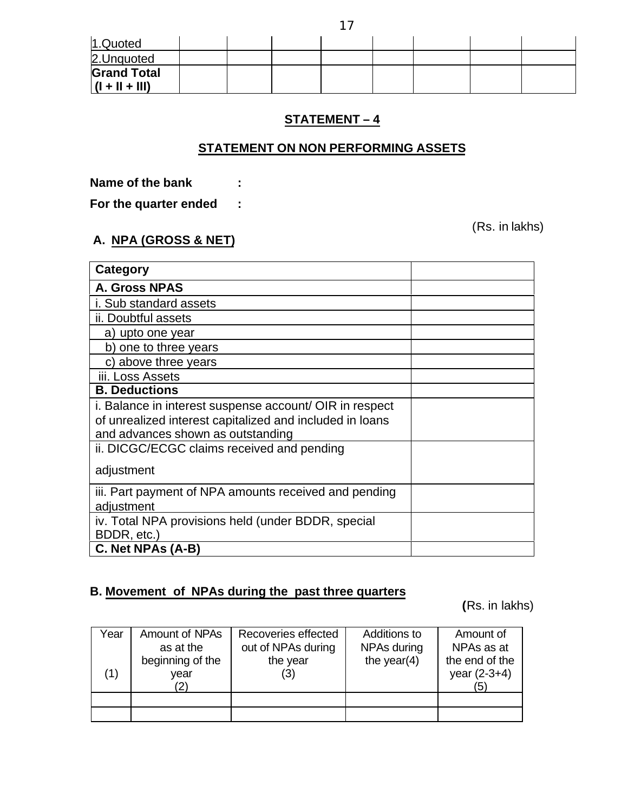| 1.Quoted                               |  |  |  |  |
|----------------------------------------|--|--|--|--|
| 2. Unquoted                            |  |  |  |  |
| <b>Grand Total</b><br>$(1 + 11 + 111)$ |  |  |  |  |

### **STATEMENT – 4**

### **STATEMENT ON NON PERFORMING ASSETS**

**Name of the bank :**

**For the quarter ended :**

(Rs. in lakhs)

### **A. NPA (GROSS & NET)**

| Category                                                 |  |
|----------------------------------------------------------|--|
| <b>A. Gross NPAS</b>                                     |  |
| i. Sub standard assets                                   |  |
| ii. Doubtful assets                                      |  |
| a) upto one year                                         |  |
| b) one to three years                                    |  |
| c) above three years                                     |  |
| iii. Loss Assets                                         |  |
| <b>B. Deductions</b>                                     |  |
| i. Balance in interest suspense account/ OIR in respect  |  |
| of unrealized interest capitalized and included in loans |  |
| and advances shown as outstanding                        |  |
| ii. DICGC/ECGC claims received and pending               |  |
| adjustment                                               |  |
| iii. Part payment of NPA amounts received and pending    |  |
| adjustment                                               |  |
| iv. Total NPA provisions held (under BDDR, special       |  |
| BDDR, etc.)                                              |  |
| C. Net NPAs (A-B)                                        |  |

### **B. Movement of NPAs during the past three quarters**

 **(**Rs. in lakhs)

| Year | Amount of NPAs   | Recoveries effected | Additions to   | Amount of      |
|------|------------------|---------------------|----------------|----------------|
|      | as at the        | out of NPAs during  | NPAs during    | NPAs as at     |
|      | beginning of the | the year            | the year $(4)$ | the end of the |
|      | vear             | (3)                 |                | year $(2-3+4)$ |
|      |                  |                     |                | '5)            |
|      |                  |                     |                |                |
|      |                  |                     |                |                |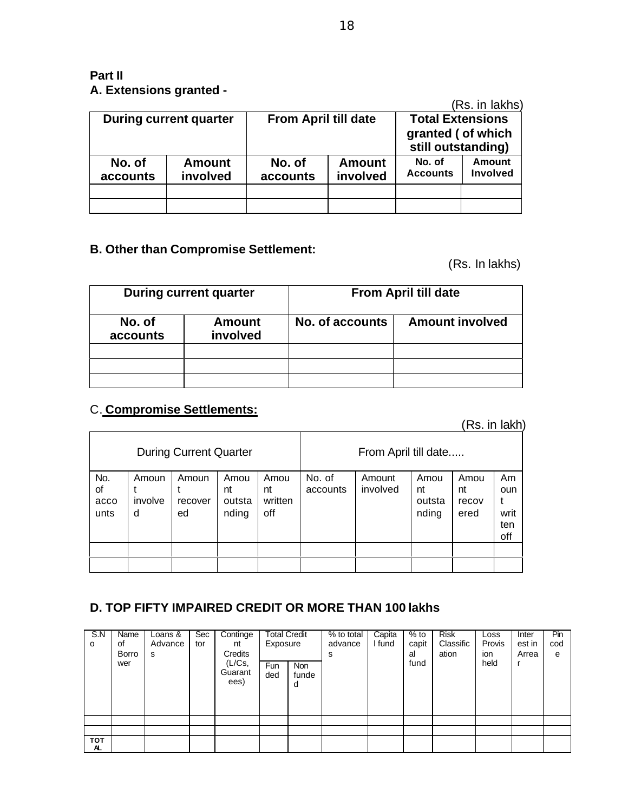### **Part II A. Extensions granted -**

|                    |                           |                             |                           |                                          | (Rs. in lakhs)     |  |
|--------------------|---------------------------|-----------------------------|---------------------------|------------------------------------------|--------------------|--|
|                    | During current quarter    | <b>From April till date</b> |                           | <b>Total Extensions</b>                  |                    |  |
|                    |                           |                             |                           | granted ( of which<br>still outstanding) |                    |  |
| No. of<br>accounts | <b>Amount</b><br>involved | No. of<br>accounts          | <b>Amount</b><br>involved | No. of<br><b>Accounts</b>                | Amount<br>Involved |  |
|                    |                           |                             |                           |                                          |                    |  |
|                    |                           |                             |                           |                                          |                    |  |

### **B. Other than Compromise Settlement:**

(Rs. In lakhs)

|                    | <b>During current quarter</b> | <b>From April till date</b> |                        |  |  |  |
|--------------------|-------------------------------|-----------------------------|------------------------|--|--|--|
| No. of<br>accounts | Amount<br>involved            | No. of accounts             | <b>Amount involved</b> |  |  |  |
|                    |                               |                             |                        |  |  |  |
|                    |                               |                             |                        |  |  |  |
|                    |                               |                             |                        |  |  |  |

### C. **Compromise Settlements:**

(Rs. in lakh)

| <b>During Current Quarter</b> |                       |                        |                               |                              | From April till date |                    |                               |                             |                                 |
|-------------------------------|-----------------------|------------------------|-------------------------------|------------------------------|----------------------|--------------------|-------------------------------|-----------------------------|---------------------------------|
| No.<br>οf<br>acco<br>unts     | Amoun<br>involve<br>d | Amoun<br>recover<br>ed | Amou<br>nt<br>outsta<br>nding | Amou<br>nt<br>written<br>off | No. of<br>accounts   | Amount<br>involved | Amou<br>nt<br>outsta<br>nding | Amou<br>nt<br>recov<br>ered | Am<br>oun<br>writ<br>ten<br>off |
|                               |                       |                        |                               |                              |                      |                    |                               |                             |                                 |
|                               |                       |                        |                               |                              |                      |                    |                               |                             |                                 |

### **D. TOP FIFTY IMPAIRED CREDIT OR MORE THAN 100 lakhs**

| S.N<br>o          | Name<br>οf<br>Borro<br>wer | Loans &<br>Advance<br>s | Sec<br>tor | Continge<br>nt<br>Credits<br>(L/Cs,<br>Guarant<br>ees) | <b>Total Credit</b><br>Exposure<br>Fun<br>ded | Non<br>funde<br>d | % to total<br>advance<br>s | Capita<br>I fund | $%$ to<br>capit<br>al<br>fund | <b>Risk</b><br>Classific<br>ation | Loss<br>Provis<br>ion<br>held | Inter<br>est in<br>Arrea | Pin<br>cod<br>e |
|-------------------|----------------------------|-------------------------|------------|--------------------------------------------------------|-----------------------------------------------|-------------------|----------------------------|------------------|-------------------------------|-----------------------------------|-------------------------------|--------------------------|-----------------|
|                   |                            |                         |            |                                                        |                                               |                   |                            |                  |                               |                                   |                               |                          |                 |
|                   |                            |                         |            |                                                        |                                               |                   |                            |                  |                               |                                   |                               |                          |                 |
| <b>TOT</b><br>AL. |                            |                         |            |                                                        |                                               |                   |                            |                  |                               |                                   |                               |                          |                 |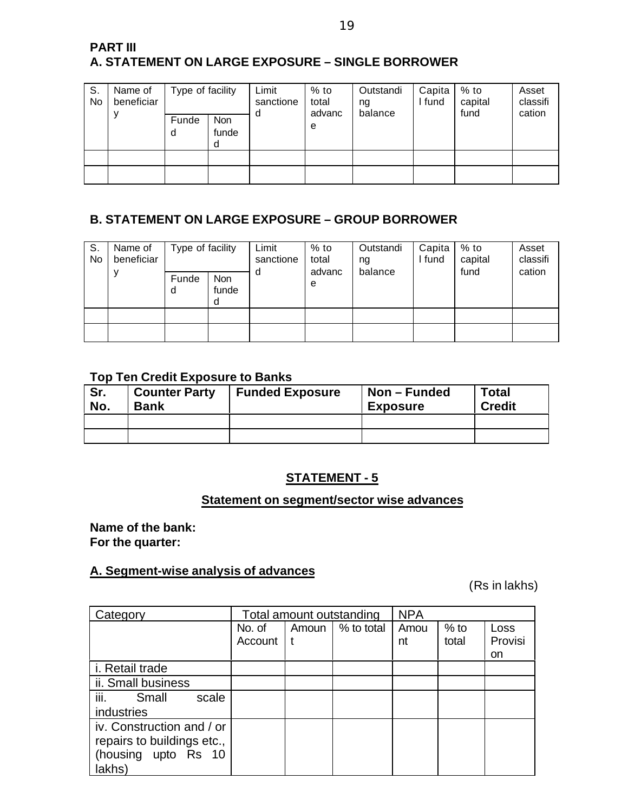| <b>PART III</b>                                  |  |
|--------------------------------------------------|--|
| A. STATEMENT ON LARGE EXPOSURE – SINGLE BORROWER |  |

| S.<br>No | Name of<br>beneficiar | Type of facility<br><b>Non</b><br>Funde<br>funde<br>d |  | Limit<br>sanctione<br>a | $%$ to<br>total<br>advanc<br>e | Outstandi<br>ng<br>balance | Capita<br>I fund | $%$ to<br>capital<br>fund | Asset<br>classifi<br>cation |
|----------|-----------------------|-------------------------------------------------------|--|-------------------------|--------------------------------|----------------------------|------------------|---------------------------|-----------------------------|
|          |                       | d                                                     |  |                         |                                |                            |                  |                           |                             |
|          |                       |                                                       |  |                         |                                |                            |                  |                           |                             |
|          |                       |                                                       |  |                         |                                |                            |                  |                           |                             |

### **B. STATEMENT ON LARGE EXPOSURE – GROUP BORROWER**

| S.<br>No | Name of<br>beneficiar | Type of facility<br>Funde<br>d | <b>Non</b><br>funde | Limit<br>sanctione<br>d | $%$ to<br>total<br>advanc<br>e | Outstandi<br>ng<br>balance | Capita<br>I fund | % to<br>capital<br>fund | Asset<br>classifi<br>cation |
|----------|-----------------------|--------------------------------|---------------------|-------------------------|--------------------------------|----------------------------|------------------|-------------------------|-----------------------------|
|          |                       |                                |                     |                         |                                |                            |                  |                         |                             |
|          |                       |                                |                     |                         |                                |                            |                  |                         |                             |

#### **Top Ten Credit Exposure to Banks**

| Sr.<br>No. | <b>Counter Party</b><br><b>Bank</b> | <b>Funded Exposure</b> | Non – Funded<br><b>Exposure</b> | <b>Total</b><br><b>Credit</b> |  |
|------------|-------------------------------------|------------------------|---------------------------------|-------------------------------|--|
|            |                                     |                        |                                 |                               |  |
|            |                                     |                        |                                 |                               |  |

### **STATEMENT - 5**

### **Statement on segment/sector wise advances**

**Name of the bank: For the quarter:**

### **A. Segment-wise analysis of advances**

(Rs in lakhs)

| Category                                                                                  |                   |       | Total amount outstanding | <b>NPA</b> |                 |                       |
|-------------------------------------------------------------------------------------------|-------------------|-------|--------------------------|------------|-----------------|-----------------------|
|                                                                                           | No. of<br>Account | Amoun | % to total               | Amou<br>nt | $%$ to<br>total | Loss<br>Provisi<br>on |
| i. Retail trade                                                                           |                   |       |                          |            |                 |                       |
| ii. Small business                                                                        |                   |       |                          |            |                 |                       |
| iii.<br>Small<br>scale<br>industries                                                      |                   |       |                          |            |                 |                       |
| iv. Construction and / or<br>repairs to buildings etc.,<br>(housing upto Rs 10)<br>lakhs) |                   |       |                          |            |                 |                       |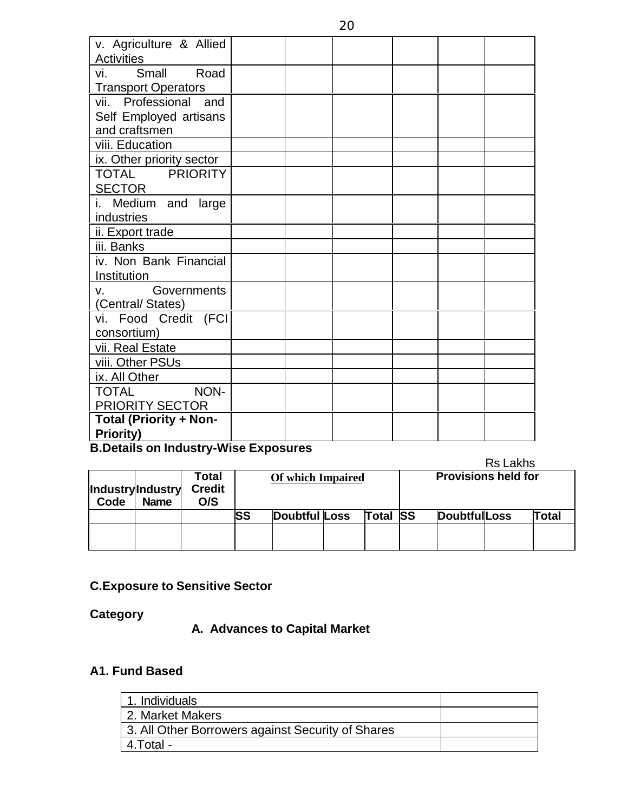| v. Agriculture & Allied       |  |  |  |
|-------------------------------|--|--|--|
| <b>Activities</b>             |  |  |  |
| vi.<br>Small<br>Road          |  |  |  |
| <b>Transport Operators</b>    |  |  |  |
| vii. Professional and         |  |  |  |
| Self Employed artisans        |  |  |  |
| and craftsmen                 |  |  |  |
| viii. Education               |  |  |  |
| ix. Other priority sector     |  |  |  |
| TOTAL PRIORITY                |  |  |  |
| <b>SECTOR</b>                 |  |  |  |
| Medium and large              |  |  |  |
| industries                    |  |  |  |
| ii. Export trade              |  |  |  |
| iii. Banks                    |  |  |  |
| iv. Non Bank Financial        |  |  |  |
| Institution                   |  |  |  |
| Governments<br>V.             |  |  |  |
| (Central/States)              |  |  |  |
| vi. Food Credit (FCI          |  |  |  |
| consortium)                   |  |  |  |
| vii. Real Estate              |  |  |  |
| viii. Other PSUs              |  |  |  |
| ix. All Other                 |  |  |  |
| NON-<br><b>TOTAL</b>          |  |  |  |
| <b>PRIORITY SECTOR</b>        |  |  |  |
| <b>Total (Priority + Non-</b> |  |  |  |
| <b>Priority)</b><br>1.001     |  |  |  |

### **B.Details on Industry-Wise Exposures**

|      |                                 |                               |           |                          |  |                 |                            |                      | <b>Rs Lakhs</b> |              |
|------|---------------------------------|-------------------------------|-----------|--------------------------|--|-----------------|----------------------------|----------------------|-----------------|--------------|
| Code | IndustryIndustry<br><b>Name</b> | Total<br><b>Credit</b><br>O/S |           | <b>Of which Impaired</b> |  |                 | <b>Provisions held for</b> |                      |                 |              |
|      |                                 |                               | <b>SS</b> | <b>Doubtful Loss</b>     |  | <b>Total SS</b> |                            | <b>DoubtfullLoss</b> |                 | <b>Total</b> |
|      |                                 |                               |           |                          |  |                 |                            |                      |                 |              |

### **C.Exposure to Sensitive Sector**

**Category**

**A. Advances to Capital Market**

### **A1. Fund Based**

| 1. Individuals                                    |  |
|---------------------------------------------------|--|
| 2. Market Makers                                  |  |
| 3. All Other Borrowers against Security of Shares |  |
| 4.Total -                                         |  |
|                                                   |  |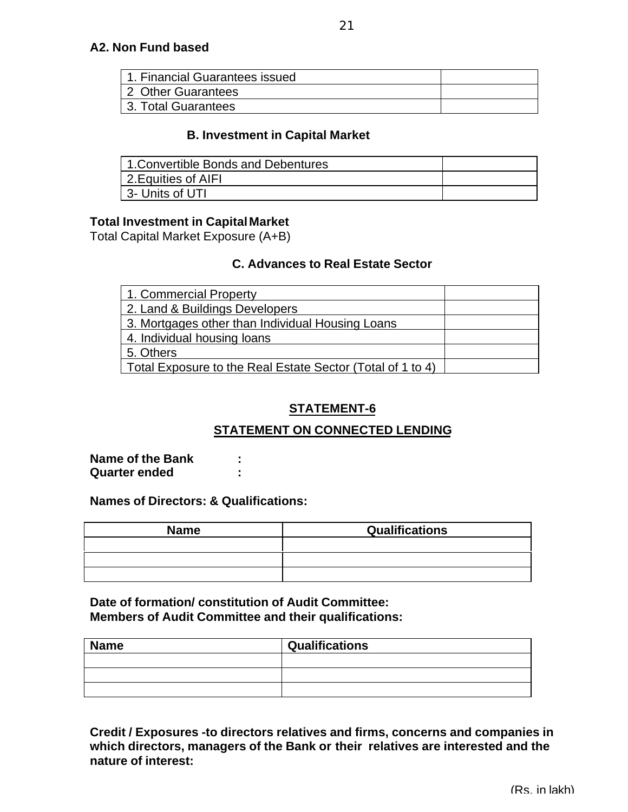| 1. Financial Guarantees issued |  |
|--------------------------------|--|
| 2 Other Guarantees             |  |
| 3. Total Guarantees            |  |

#### **B. Investment in Capital Market**

| 1. Convertible Bonds and Debentures |  |
|-------------------------------------|--|
| 2. Equities of AIFI                 |  |
| 3- Units of UTI                     |  |

#### **Total Investment in CapitalMarket**

Total Capital Market Exposure (A+B)

### **C. Advances to Real Estate Sector**

| 1. Commercial Property                                     |  |
|------------------------------------------------------------|--|
| 2. Land & Buildings Developers                             |  |
| 3. Mortgages other than Individual Housing Loans           |  |
| 4. Individual housing loans                                |  |
| 5. Others                                                  |  |
| Total Exposure to the Real Estate Sector (Total of 1 to 4) |  |

### **STATEMENT-6**

### **STATEMENT ON CONNECTED LENDING**

**Name of the Bank : Quarter ended :**

#### **Names of Directors: & Qualifications:**

| <b>Name</b> | <b>Qualifications</b> |
|-------------|-----------------------|
|             |                       |
|             |                       |
|             |                       |

**Date of formation/ constitution of Audit Committee: Members of Audit Committee and their qualifications:**

| <b>Name</b> | <b>Qualifications</b> |
|-------------|-----------------------|
|             |                       |
|             |                       |
|             |                       |

**Credit / Exposures -to directors relatives and firms, concerns and companies in which directors, managers of the Bank or their relatives are interested and the nature of interest:**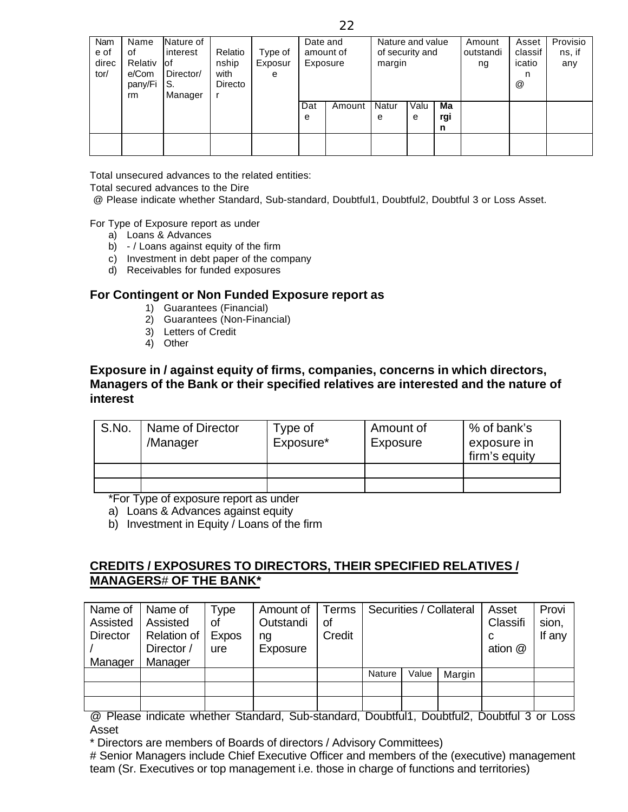| pany/Fi<br>Directo<br>S.<br>Manager<br>rm | @ |  |
|-------------------------------------------|---|--|
| Ma<br>Valu<br>Dat<br>Natur<br>Amount      |   |  |
| rgi<br>e<br>e<br>e                        |   |  |
| n                                         |   |  |
|                                           |   |  |

Total unsecured advances to the related entities:

Total secured advances to the Dire

@ Please indicate whether Standard, Sub-standard, Doubtful1, Doubtful2, Doubtful 3 or Loss Asset.

For Type of Exposure report as under

- a) Loans & Advances
- b) / Loans against equity of the firm
- c) Investment in debt paper of the company
- d) Receivables for funded exposures

#### **For Contingent or Non Funded Exposure report as**

- 1) Guarantees (Financial)
- 2) Guarantees (Non-Financial)
- 3) Letters of Credit
- 4) Other

#### **Exposure in / against equity of firms, companies, concerns in which directors, Managers of the Bank or their specified relatives are interested and the nature of interest**

| S.No. | Name of Director<br>/Manager | Type of<br>Exposure* | Amount of<br>Exposure | % of bank's<br>exposure in<br>firm's equity |
|-------|------------------------------|----------------------|-----------------------|---------------------------------------------|
|       |                              |                      |                       |                                             |
|       |                              |                      |                       |                                             |

\*For Type of exposure report as under

a) Loans & Advances against equity

b) Investment in Equity  $\overline{I}$  Loans of the firm

### **CREDITS / EXPOSURES TO DIRECTORS, THEIR SPECIFIED RELATIVES / MANAGERS**# **OF THE BANK\***

| Name of<br>Assisted<br>Director<br>Manager | Name of<br>Assisted<br><b>Relation of</b><br>Director /<br>Manager | Type<br>οt<br><b>Expos</b><br>ure | Amount of<br>Outstandi<br>na<br>Exposure | Terms<br>οf<br>Credit | Securities / Collateral |       | Asset<br>Classifi<br>C<br>ation @ | Provi<br>sion,<br>If any |  |
|--------------------------------------------|--------------------------------------------------------------------|-----------------------------------|------------------------------------------|-----------------------|-------------------------|-------|-----------------------------------|--------------------------|--|
|                                            |                                                                    |                                   |                                          |                       | <b>Nature</b>           | Value | Margin                            |                          |  |
|                                            |                                                                    |                                   |                                          |                       |                         |       |                                   |                          |  |
|                                            |                                                                    |                                   |                                          |                       |                         |       |                                   |                          |  |

@ Please indicate whether Standard, Sub-standard, Doubtful1, Doubtful2, Doubtful 3 or Loss Asset

\* Directors are members of Boards of directors / Advisory Committees)

# Senior Managers include Chief Executive Officer and members of the (executive) management team (Sr. Executives or top management i.e. those in charge of functions and territories)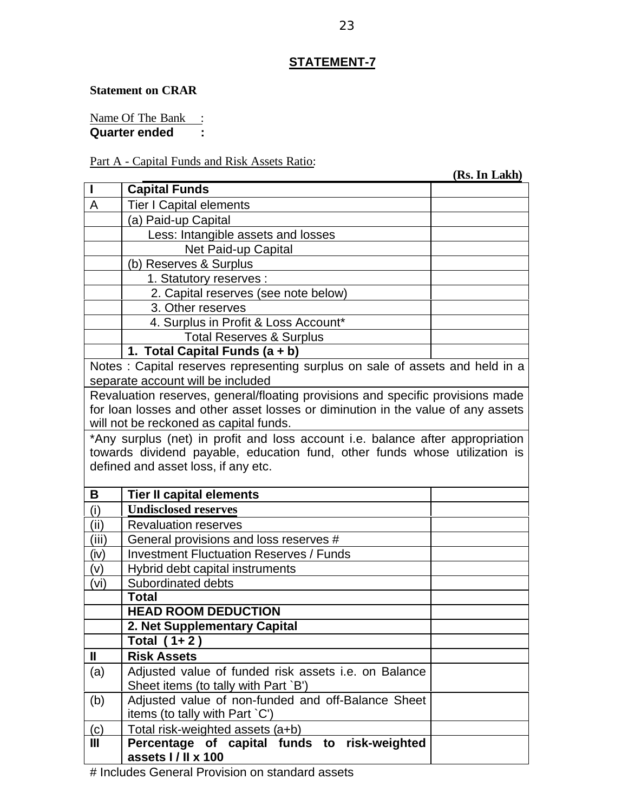### **STATEMENT-7**

#### **Statement on CRAR**

Name Of The Bank : **Quarter ended :**

#### Part A - Capital Funds and Risk Assets Ratio:

 **(Rs. In Lakh) I Capital Funds** A Tier I Capital elements (a) Paid-up Capital Less: Intangible assets and losses Net Paid-up Capital (b) Reserves & Surplus 1. Statutory reserves : 2. Capital reserves (see note below) 3. Other reserves 4. Surplus in Profit & Loss Account\* Total Reserves & Surplus **1. Total Capital Funds (a + b)** Notes : Capital reserves representing surplus on sale of assets and held in a separate account will be included Revaluation reserves, general/floating provisions and specific provisions made for loan losses and other asset losses or diminution in the value of any assets will not be reckoned as capital funds. \*Any surplus (net) in profit and loss account i.e. balance after appropriation towards dividend payable, education fund, other funds whose utilization is defined and asset loss, if any etc. **B Tier II capital elements** (i) **Undisclosed reserves** (ii) Revaluation reserves (iii)  $\int$  General provisions and loss reserves #  $(iv)$  Investment Fluctuation Reserves / Funds (v) Hybrid debt capital instruments (vi) Subordinated debts **Total HEAD ROOM DEDUCTION 2. Net Supplementary Capital Total ( 1+ 2 ) II Risk Assets** (a)  $\vert$  Adjusted value of funded risk assets i.e. on Balance Sheet items (to tally with Part `B') (b)  $\parallel$  Adjusted value of non-funded and off-Balance Sheet items (to tally with Part `C') (c) Total risk-weighted assets (a+b) **III Percentage of capital funds to risk-weighted assets I / II x 100**

# Includes General Provision on standard assets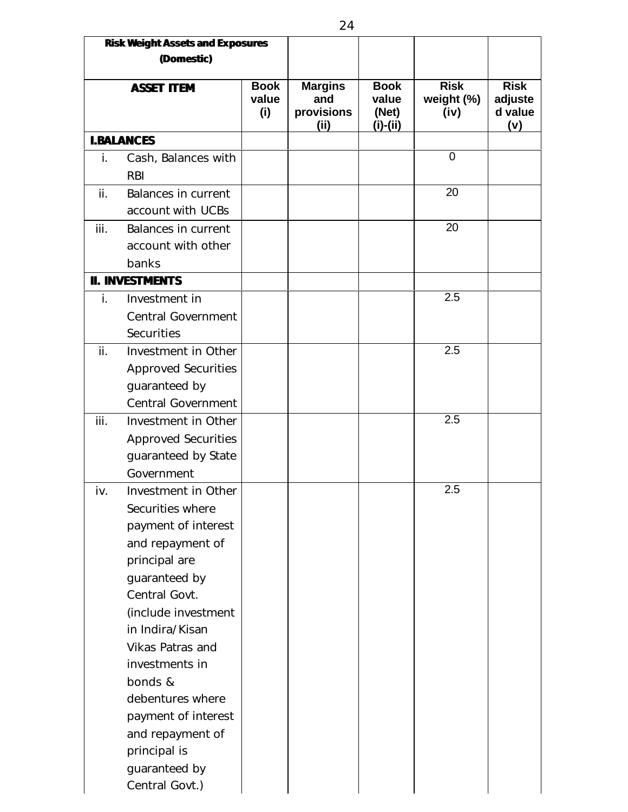|             | <b>Risk Weight Assets and Exposures</b><br>(Domestic) |                             |                                             |                                             |                                   |                                          |
|-------------|-------------------------------------------------------|-----------------------------|---------------------------------------------|---------------------------------------------|-----------------------------------|------------------------------------------|
|             | <b>ASSET ITEM</b>                                     | <b>Book</b><br>value<br>(i) | <b>Margins</b><br>and<br>provisions<br>(ii) | <b>Book</b><br>value<br>(Net)<br>$(i)-(ii)$ | <b>Risk</b><br>weight (%)<br>(iv) | <b>Risk</b><br>adjuste<br>d value<br>(v) |
|             | <b>I.BALANCES</b>                                     |                             |                                             |                                             |                                   |                                          |
| $\dot{I}$ . | Cash, Balances with                                   |                             |                                             |                                             | $\mathbf 0$                       |                                          |
|             | <b>RBI</b>                                            |                             |                                             |                                             |                                   |                                          |
| ii.         | Balances in current                                   |                             |                                             |                                             | 20                                |                                          |
|             | account with UCBs                                     |                             |                                             |                                             |                                   |                                          |
| iii.        | Balances in current                                   |                             |                                             |                                             | 20                                |                                          |
|             | account with other                                    |                             |                                             |                                             |                                   |                                          |
|             | banks                                                 |                             |                                             |                                             |                                   |                                          |
|             | <b>II. INVESTMENTS</b>                                |                             |                                             |                                             |                                   |                                          |
| $\dot{L}$   | Investment in                                         |                             |                                             |                                             | 2.5                               |                                          |
|             | <b>Central Government</b>                             |                             |                                             |                                             |                                   |                                          |
|             | <b>Securities</b>                                     |                             |                                             |                                             |                                   |                                          |
| ii.         | Investment in Other                                   |                             |                                             |                                             | 2.5                               |                                          |
|             | <b>Approved Securities</b>                            |                             |                                             |                                             |                                   |                                          |
|             | guaranteed by                                         |                             |                                             |                                             |                                   |                                          |
|             | Central Government                                    |                             |                                             |                                             |                                   |                                          |
| iii.        | Investment in Other                                   |                             |                                             |                                             | 2.5                               |                                          |
|             | <b>Approved Securities</b>                            |                             |                                             |                                             |                                   |                                          |
|             | guaranteed by State                                   |                             |                                             |                                             |                                   |                                          |
|             | Government                                            |                             |                                             |                                             |                                   |                                          |
| iv.         | Investment in Other                                   |                             |                                             |                                             | 2.5                               |                                          |
|             | Securities where                                      |                             |                                             |                                             |                                   |                                          |
|             | payment of interest                                   |                             |                                             |                                             |                                   |                                          |
|             | and repayment of                                      |                             |                                             |                                             |                                   |                                          |
|             | principal are                                         |                             |                                             |                                             |                                   |                                          |
|             | guaranteed by                                         |                             |                                             |                                             |                                   |                                          |
|             | Central Govt.                                         |                             |                                             |                                             |                                   |                                          |
|             | (include investment                                   |                             |                                             |                                             |                                   |                                          |
|             | in Indira/Kisan                                       |                             |                                             |                                             |                                   |                                          |
|             | <b>Vikas Patras and</b>                               |                             |                                             |                                             |                                   |                                          |
|             | investments in                                        |                             |                                             |                                             |                                   |                                          |
|             | bonds &                                               |                             |                                             |                                             |                                   |                                          |
|             | debentures where                                      |                             |                                             |                                             |                                   |                                          |
|             | payment of interest                                   |                             |                                             |                                             |                                   |                                          |
|             | and repayment of                                      |                             |                                             |                                             |                                   |                                          |
|             | principal is                                          |                             |                                             |                                             |                                   |                                          |
|             | guaranteed by                                         |                             |                                             |                                             |                                   |                                          |
|             | Central Govt.)                                        |                             |                                             |                                             |                                   |                                          |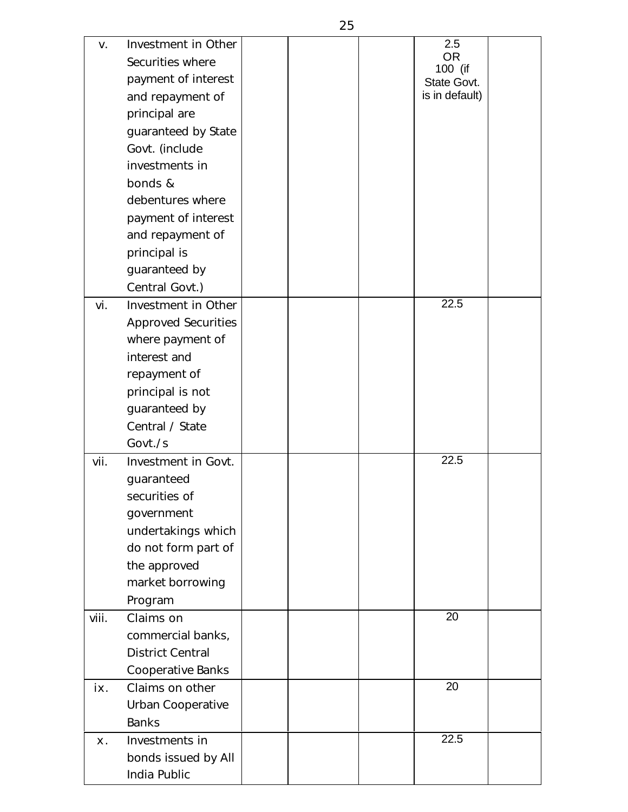|                |                            |  | 2.5            |  |
|----------------|----------------------------|--|----------------|--|
| V.             | Investment in Other        |  | <b>OR</b>      |  |
|                | Securities where           |  | 100 (if        |  |
|                | payment of interest        |  | State Govt.    |  |
|                | and repayment of           |  | is in default) |  |
|                | principal are              |  |                |  |
|                | guaranteed by State        |  |                |  |
|                | Govt. (include             |  |                |  |
|                | investments in             |  |                |  |
|                | bonds &                    |  |                |  |
|                | debentures where           |  |                |  |
|                | payment of interest        |  |                |  |
|                | and repayment of           |  |                |  |
|                | principal is               |  |                |  |
|                | guaranteed by              |  |                |  |
|                | Central Govt.)             |  |                |  |
| vi.            | Investment in Other        |  | 22.5           |  |
|                | <b>Approved Securities</b> |  |                |  |
|                | where payment of           |  |                |  |
|                | interest and               |  |                |  |
|                | repayment of               |  |                |  |
|                | principal is not           |  |                |  |
|                | guaranteed by              |  |                |  |
|                | Central / State            |  |                |  |
|                | Govt./s                    |  |                |  |
| vii.           | Investment in Govt.        |  | 22.5           |  |
|                | guaranteed                 |  |                |  |
|                | securities of              |  |                |  |
|                | government                 |  |                |  |
|                | undertakings which         |  |                |  |
|                | do not form part of        |  |                |  |
|                | the approved               |  |                |  |
|                | market borrowing           |  |                |  |
|                | Program                    |  |                |  |
| viii.          | Claims on                  |  | 20             |  |
|                | commercial banks,          |  |                |  |
|                | <b>District Central</b>    |  |                |  |
|                | Cooperative Banks          |  |                |  |
| İХ.            | Claims on other            |  | 20             |  |
|                | Urban Cooperative          |  |                |  |
|                | <b>Banks</b>               |  |                |  |
| X <sub>1</sub> | Investments in             |  | 22.5           |  |
|                | bonds issued by All        |  |                |  |
|                | India Public               |  |                |  |
|                |                            |  |                |  |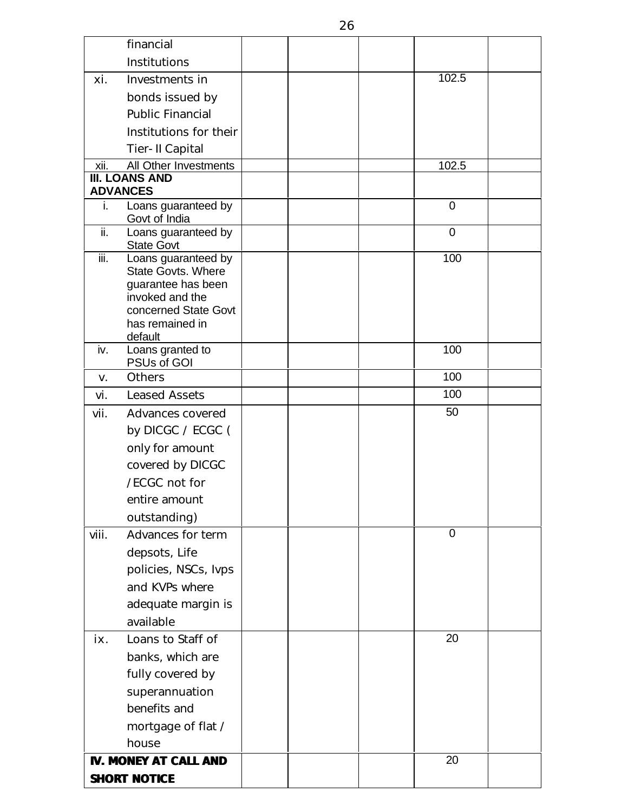|       | financial                                 |  |             |  |
|-------|-------------------------------------------|--|-------------|--|
|       | <b>Institutions</b>                       |  |             |  |
| хi.   | Investments in                            |  | 102.5       |  |
|       | bonds issued by                           |  |             |  |
|       | <b>Public Financial</b>                   |  |             |  |
|       | Institutions for their                    |  |             |  |
|       | Tier-II Capital                           |  |             |  |
| xii.  | All Other Investments                     |  | 102.5       |  |
|       | <b>III. LOANS AND</b><br><b>ADVANCES</b>  |  |             |  |
| i.    | Loans guaranteed by                       |  | $\mathbf 0$ |  |
|       | Govt of India                             |  |             |  |
| ii.   | Loans guaranteed by<br><b>State Govt</b>  |  | $\mathbf 0$ |  |
| iii.  | Loans guaranteed by<br>State Govts. Where |  | 100         |  |
|       | guarantee has been                        |  |             |  |
|       | invoked and the                           |  |             |  |
|       | concerned State Govt<br>has remained in   |  |             |  |
|       | default                                   |  |             |  |
| iv.   | Loans granted to<br>PSUs of GOI           |  | 100         |  |
| V.    | <b>Others</b>                             |  | 100         |  |
| vi.   | <b>Leased Assets</b>                      |  | 100         |  |
| vii.  | Advances covered                          |  | 50          |  |
|       | by DICGC / $ECGC$ (                       |  |             |  |
|       | only for amount                           |  |             |  |
|       | covered by DICGC                          |  |             |  |
|       | /ECGC not for                             |  |             |  |
|       | entire amount                             |  |             |  |
|       | outstanding)                              |  |             |  |
| viii. | Advances for term                         |  | $\mathbf 0$ |  |
|       | depsots, Life                             |  |             |  |
|       | policies, NSCs, lvps                      |  |             |  |
|       | and KVPs where                            |  |             |  |
|       | adequate margin is                        |  |             |  |
|       | available                                 |  | 20          |  |
| İХ.   | Loans to Staff of                         |  |             |  |
|       | banks, which are                          |  |             |  |
|       | fully covered by<br>superannuation        |  |             |  |
|       | benefits and                              |  |             |  |
|       | mortgage of flat /                        |  |             |  |
|       | house                                     |  |             |  |
|       | <b>IV. MONEY AT CALL AND</b>              |  | 20          |  |
|       | <b>SHORT NOTICE</b>                       |  |             |  |
|       |                                           |  |             |  |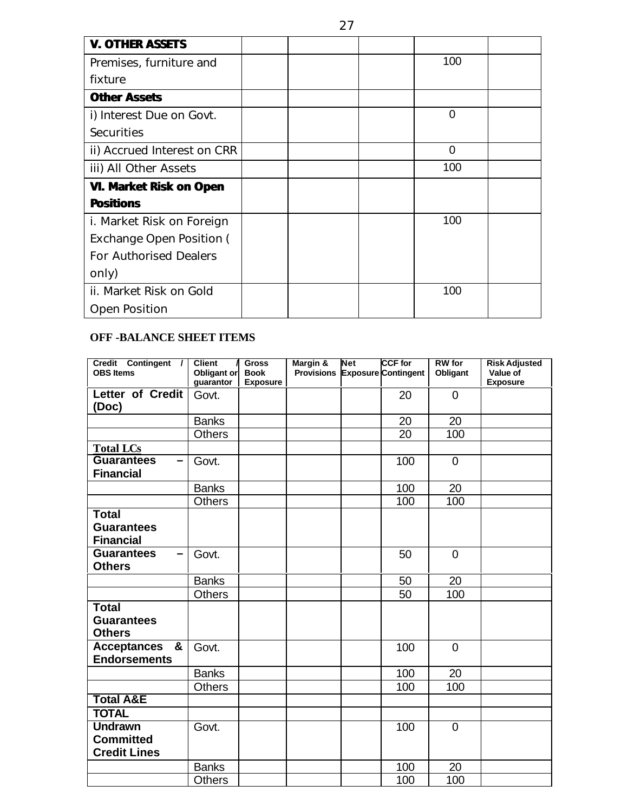| <b>V. OTHER ASSETS</b>              |  |          |  |
|-------------------------------------|--|----------|--|
| Premises, furniture and             |  | 100      |  |
| fixture                             |  |          |  |
| <b>Other Assets</b>                 |  |          |  |
| i) Interest Due on Govt.            |  | 0        |  |
| <b>Securities</b>                   |  |          |  |
| <i>ii</i> ) Accrued Interest on CRR |  | $\Omega$ |  |
| iii) All Other Assets               |  | 100      |  |
| <b>VI. Market Risk on Open</b>      |  |          |  |
| <b>Positions</b>                    |  |          |  |
| <i>i. Market Risk on Foreign</i>    |  | 100      |  |
| Exchange Open Position (            |  |          |  |
| <b>For Authorised Dealers</b>       |  |          |  |
| only)                               |  |          |  |
| ii. Market Risk on Gold             |  | 100      |  |
| <b>Open Position</b>                |  |          |  |

### **OFF -BALANCE SHEET ITEMS**

| Credit Contingent /                  | <b>Client</b>            | <b>Gross</b>                   | Margin &          | <b>Net</b> | <b>CCF</b> for             | <b>RW</b> for  | <b>Risk Adjusted</b>        |
|--------------------------------------|--------------------------|--------------------------------|-------------------|------------|----------------------------|----------------|-----------------------------|
| <b>OBS Items</b>                     | Obligant or<br>guarantor | <b>Book</b><br><b>Exposure</b> | <b>Provisions</b> |            | <b>Exposure Contingent</b> | Obligant       | Value of<br><b>Exposure</b> |
| Letter of Credit                     | Govt.                    |                                |                   |            | 20                         | $\overline{0}$ |                             |
| (Doc)                                |                          |                                |                   |            |                            |                |                             |
|                                      | <b>Banks</b>             |                                |                   |            | 20                         | 20             |                             |
|                                      | <b>Others</b>            |                                |                   |            | 20                         | 100            |                             |
| <b>Total LCs</b>                     |                          |                                |                   |            |                            |                |                             |
| <b>Guarantees</b>                    | Govt.                    |                                |                   |            | 100                        | $\mathbf 0$    |                             |
| <b>Financial</b>                     |                          |                                |                   |            |                            |                |                             |
|                                      | <b>Banks</b>             |                                |                   |            | 100                        | 20             |                             |
|                                      | <b>Others</b>            |                                |                   |            | 100                        | 100            |                             |
| <b>Total</b>                         |                          |                                |                   |            |                            |                |                             |
| <b>Guarantees</b>                    |                          |                                |                   |            |                            |                |                             |
| <b>Financial</b>                     |                          |                                |                   |            |                            |                |                             |
| <b>Guarantees</b><br>$\qquad \qquad$ | Govt.                    |                                |                   |            | 50                         | $\overline{0}$ |                             |
| <b>Others</b>                        |                          |                                |                   |            |                            |                |                             |
|                                      | <b>Banks</b>             |                                |                   |            | 50                         | 20             |                             |
|                                      | <b>Others</b>            |                                |                   |            | 50                         | 100            |                             |
| <b>Total</b>                         |                          |                                |                   |            |                            |                |                             |
| <b>Guarantees</b>                    |                          |                                |                   |            |                            |                |                             |
| <b>Others</b>                        |                          |                                |                   |            |                            |                |                             |
| Acceptances &                        | Govt.                    |                                |                   |            | 100                        | $\overline{0}$ |                             |
| <b>Endorsements</b>                  |                          |                                |                   |            |                            |                |                             |
|                                      | <b>Banks</b>             |                                |                   |            | 100                        | 20             |                             |
|                                      | <b>Others</b>            |                                |                   |            | 100                        | 100            |                             |
| <b>Total A&amp;E</b>                 |                          |                                |                   |            |                            |                |                             |
| <b>TOTAL</b>                         |                          |                                |                   |            |                            |                |                             |
| <b>Undrawn</b>                       | Govt.                    |                                |                   |            | 100                        | $\overline{0}$ |                             |
| <b>Committed</b>                     |                          |                                |                   |            |                            |                |                             |
| <b>Credit Lines</b>                  |                          |                                |                   |            |                            |                |                             |
|                                      | <b>Banks</b>             |                                |                   |            | 100                        | 20             |                             |
|                                      | <b>Others</b>            |                                |                   |            | 100                        | 100            |                             |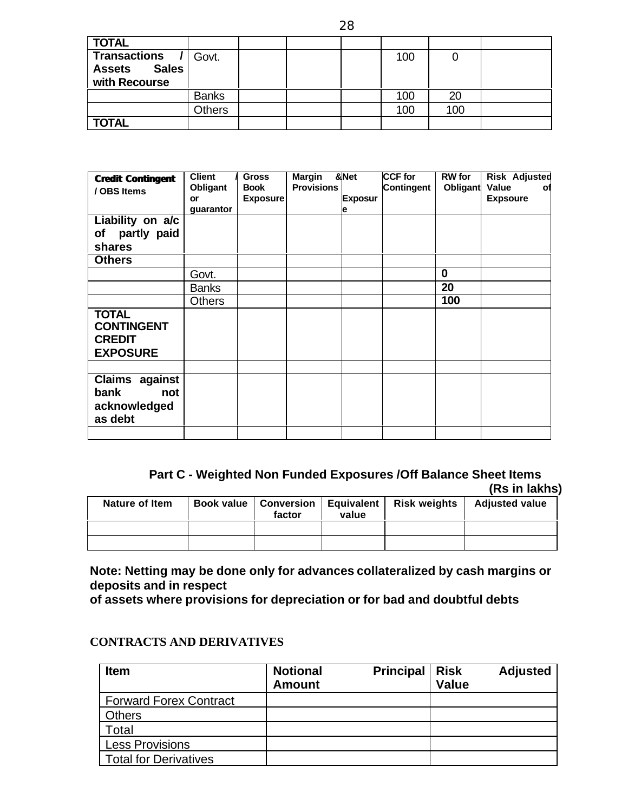| <b>TOTAL</b>                  |              |  |     |     |  |
|-------------------------------|--------------|--|-----|-----|--|
| Transactions /                | Govt.        |  | 100 |     |  |
| <b>Sales</b><br><b>Assets</b> |              |  |     |     |  |
| with Recourse                 |              |  |     |     |  |
|                               | <b>Banks</b> |  | 100 |     |  |
|                               | Others       |  | 100 | 100 |  |
| <b>TOTAL</b>                  |              |  |     |     |  |

| <b>Credit Contingent</b><br>/ OBS Items                               | <b>Client</b><br>Obligant<br>or | <b>Gross</b><br><b>Book</b><br><b>Exposure</b> | <b>Margin</b><br><b>Provisions</b> | &Net<br><b>Exposur</b> | <b>CCF for</b><br><b>Contingent</b> | <b>RW</b> for<br>Obligant | <b>Risk Adjusted</b><br><b>Value</b><br>оf<br><b>Expsoure</b> |
|-----------------------------------------------------------------------|---------------------------------|------------------------------------------------|------------------------------------|------------------------|-------------------------------------|---------------------------|---------------------------------------------------------------|
| Liability on a/c<br>partly paid<br>of<br>shares                       | guarantor                       |                                                |                                    | е                      |                                     |                           |                                                               |
| <b>Others</b>                                                         |                                 |                                                |                                    |                        |                                     |                           |                                                               |
|                                                                       | Govt.                           |                                                |                                    |                        |                                     | $\bf{0}$                  |                                                               |
|                                                                       | <b>Banks</b>                    |                                                |                                    |                        |                                     | 20                        |                                                               |
|                                                                       | <b>Others</b>                   |                                                |                                    |                        |                                     | 100                       |                                                               |
| <b>TOTAL</b><br><b>CONTINGENT</b><br><b>CREDIT</b><br><b>EXPOSURE</b> |                                 |                                                |                                    |                        |                                     |                           |                                                               |
|                                                                       |                                 |                                                |                                    |                        |                                     |                           |                                                               |
| Claims against<br>bank<br>not<br>acknowledged<br>as debt              |                                 |                                                |                                    |                        |                                     |                           |                                                               |

#### **Part C - Weighted Non Funded Exposures /Off Balance Sheet Items (Rs in lakhs)**

| Nature of Item | factor | value | Book value   Conversion   Equivalent   Risk weights | <b>Adjusted value</b> |
|----------------|--------|-------|-----------------------------------------------------|-----------------------|
|                |        |       |                                                     |                       |
|                |        |       |                                                     |                       |

**Note: Netting may be done only for advances collateralized by cash margins or deposits and in respect**

**of assets where provisions for depreciation or for bad and doubtful debts**

| <b>Item</b>                   | <b>Notional</b><br><b>Amount</b> | <b>Principal</b> | <b>Risk</b><br><b>Value</b> | <b>Adjusted</b> |
|-------------------------------|----------------------------------|------------------|-----------------------------|-----------------|
| <b>Forward Forex Contract</b> |                                  |                  |                             |                 |
| Others                        |                                  |                  |                             |                 |
| Total                         |                                  |                  |                             |                 |
| <b>Less Provisions</b>        |                                  |                  |                             |                 |
| <b>Total for Derivatives</b>  |                                  |                  |                             |                 |

#### **CONTRACTS AND DERIVATIVES**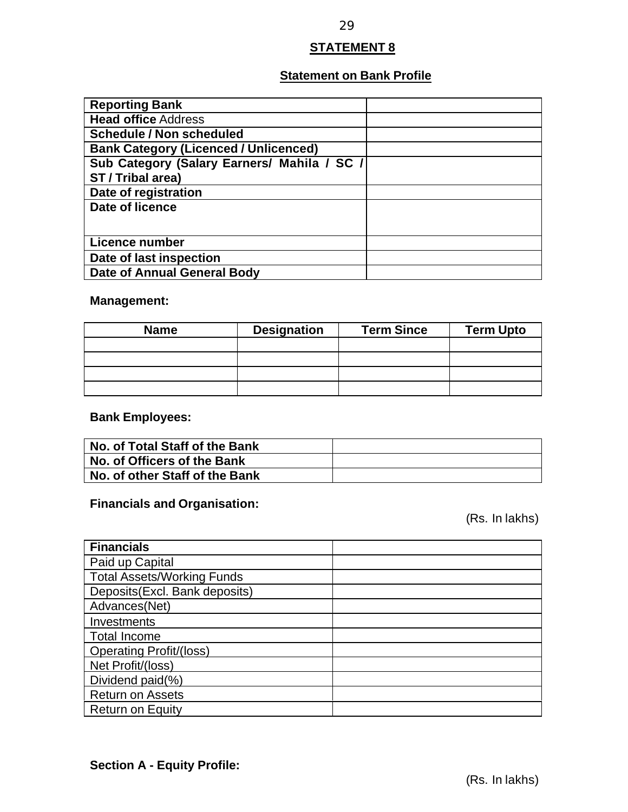### **STATEMENT 8**

### **Statement on Bank Profile**

| <b>Reporting Bank</b>                        |  |
|----------------------------------------------|--|
| <b>Head office Address</b>                   |  |
| <b>Schedule / Non scheduled</b>              |  |
| <b>Bank Category (Licenced / Unlicenced)</b> |  |
| Sub Category (Salary Earners/ Mahila / SC /  |  |
| ST / Tribal area)                            |  |
| Date of registration                         |  |
| Date of licence                              |  |
|                                              |  |
| Licence number                               |  |
| Date of last inspection                      |  |
| <b>Date of Annual General Body</b>           |  |

### **Management:**

| <b>Name</b> | <b>Designation</b> | <b>Term Since</b> | <b>Term Upto</b> |
|-------------|--------------------|-------------------|------------------|
|             |                    |                   |                  |
|             |                    |                   |                  |
|             |                    |                   |                  |
|             |                    |                   |                  |

### **Bank Employees:**

| No. of Total Staff of the Bank |  |
|--------------------------------|--|
| No. of Officers of the Bank    |  |
| No. of other Staff of the Bank |  |

### **Financials and Organisation:**

(Rs. In lakhs)

| <b>Financials</b>                 |  |
|-----------------------------------|--|
| Paid up Capital                   |  |
| <b>Total Assets/Working Funds</b> |  |
| Deposits(Excl. Bank deposits)     |  |
| Advances(Net)                     |  |
| Investments                       |  |
| <b>Total Income</b>               |  |
| <b>Operating Profit/(loss)</b>    |  |
| Net Profit/(loss)                 |  |
| Dividend paid(%)                  |  |
| <b>Return on Assets</b>           |  |
| <b>Return on Equity</b>           |  |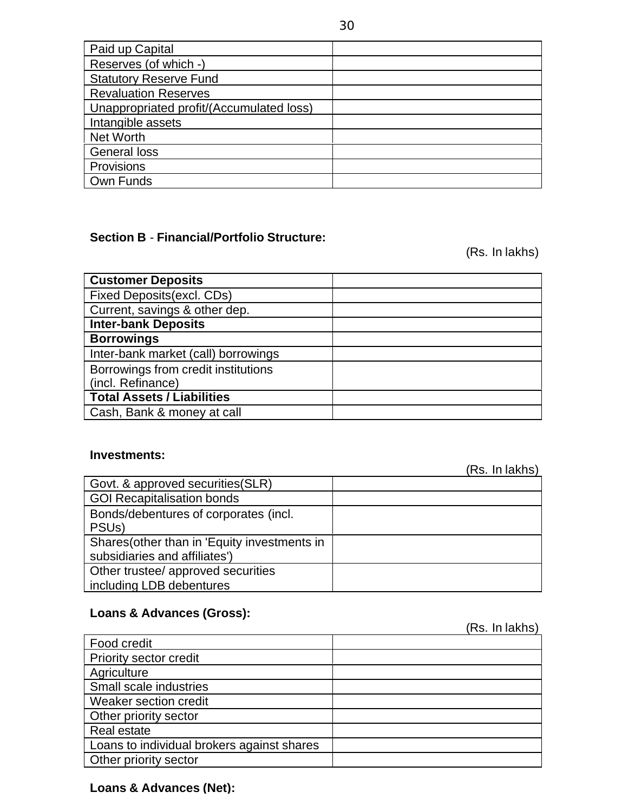| Paid up Capital                          |  |
|------------------------------------------|--|
| Reserves (of which -)                    |  |
| <b>Statutory Reserve Fund</b>            |  |
| <b>Revaluation Reserves</b>              |  |
| Unappropriated profit/(Accumulated loss) |  |
| Intangible assets                        |  |
| <b>Net Worth</b>                         |  |
| <b>General loss</b>                      |  |
| Provisions                               |  |
| Own Funds                                |  |

### **Section B** - **Financial/Portfolio Structure:**

(Rs. In lakhs)

| <b>Customer Deposits</b>            |  |
|-------------------------------------|--|
| Fixed Deposits (excl. CDs)          |  |
| Current, savings & other dep.       |  |
| <b>Inter-bank Deposits</b>          |  |
| <b>Borrowings</b>                   |  |
| Inter-bank market (call) borrowings |  |
| Borrowings from credit institutions |  |
| (incl. Refinance)                   |  |
| <b>Total Assets / Liabilities</b>   |  |
| Cash, Bank & money at call          |  |

#### **Investments:**

|                                              | (Rs. In lakhs) |
|----------------------------------------------|----------------|
| Govt. & approved securities (SLR)            |                |
| <b>GOI Recapitalisation bonds</b>            |                |
| Bonds/debentures of corporates (incl.        |                |
| PSU <sub>s</sub> )                           |                |
| Shares (other than in 'Equity investments in |                |
| subsidiaries and affiliates')                |                |
| Other trustee/ approved securities           |                |
| including LDB debentures                     |                |

### **Loans & Advances (Gross):**

Food credit Priority sector credit **Agriculture** Small scale industries Weaker section credit Other priority sector Real estate Loans to individual brokers against shares Other priority sector

### **Loans & Advances (Net):**

(Rs. In lakhs)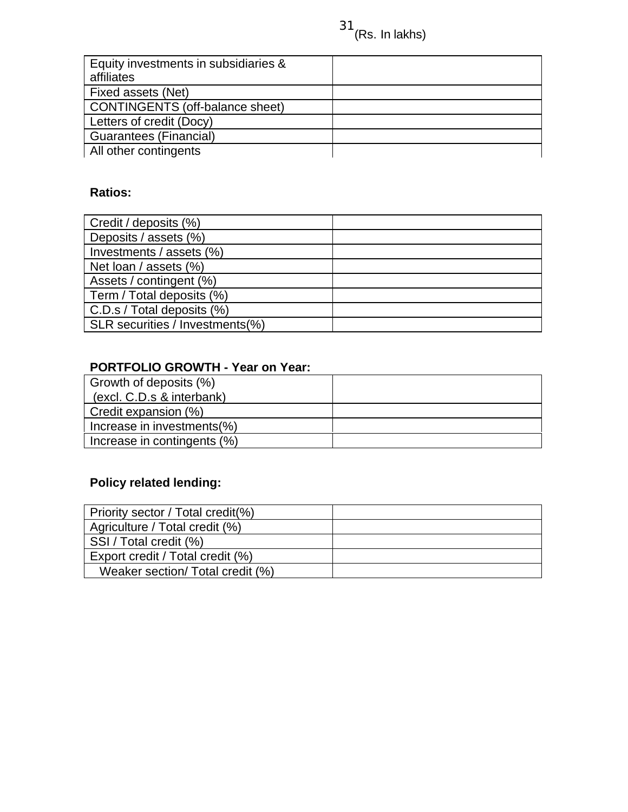| Equity investments in subsidiaries &   |  |
|----------------------------------------|--|
| affiliates                             |  |
| Fixed assets (Net)                     |  |
| <b>CONTINGENTS (off-balance sheet)</b> |  |
| Letters of credit (Docy)               |  |
| <b>Guarantees (Financial)</b>          |  |
| All other contingents                  |  |

### **Ratios:**

| Credit / deposits (%)           |  |
|---------------------------------|--|
| Deposits / assets (%)           |  |
| Investments / assets (%)        |  |
| Net loan / assets (%)           |  |
| Assets / contingent (%)         |  |
| Term / Total deposits (%)       |  |
| C.D.s / Total deposits (%)      |  |
| SLR securities / Investments(%) |  |

### **PORTFOLIO GROWTH - Year on Year:**

| Growth of deposits (%)      |  |
|-----------------------------|--|
| (excl. C.D.s & interbank)   |  |
| Credit expansion (%)        |  |
| Increase in investments(%)  |  |
| Increase in contingents (%) |  |

# **Policy related lending:**

| Priority sector / Total credit(%) |  |
|-----------------------------------|--|
| Agriculture / Total credit (%)    |  |
| SSI / Total credit (%)            |  |
| Export credit / Total credit (%)  |  |
| Weaker section/ Total credit (%)  |  |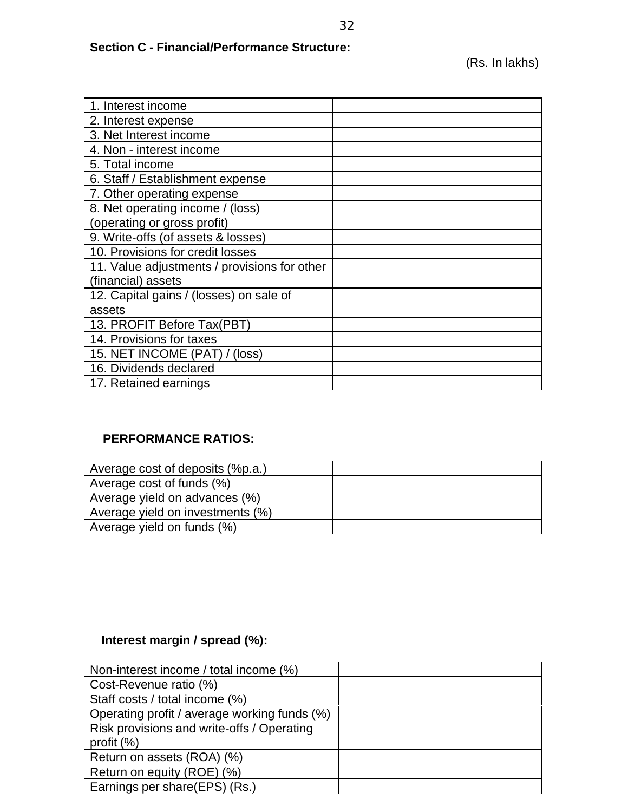### **Section C - Financial/Performance Structure:**

| 1. Interest income                           |  |
|----------------------------------------------|--|
| 2. Interest expense                          |  |
| 3. Net Interest income                       |  |
| 4. Non - interest income                     |  |
| 5. Total income                              |  |
| 6. Staff / Establishment expense             |  |
| 7. Other operating expense                   |  |
| 8. Net operating income / (loss)             |  |
| (operating or gross profit)                  |  |
| 9. Write-offs (of assets & losses)           |  |
| 10. Provisions for credit losses             |  |
| 11. Value adjustments / provisions for other |  |
| (financial) assets                           |  |
| 12. Capital gains / (losses) on sale of      |  |
| assets                                       |  |
| 13. PROFIT Before Tax(PBT)                   |  |
| 14. Provisions for taxes                     |  |
| 15. NET INCOME (PAT) / (loss)                |  |
| 16. Dividends declared                       |  |
| 17. Retained earnings                        |  |

### **PERFORMANCE RATIOS:**

| Average cost of deposits (%p.a.) |  |
|----------------------------------|--|
| Average cost of funds (%)        |  |
| Average yield on advances (%)    |  |
| Average yield on investments (%) |  |
| Average yield on funds (%)       |  |

### **Interest margin / spread (%):**

| Non-interest income / total income (%)       |  |
|----------------------------------------------|--|
| Cost-Revenue ratio (%)                       |  |
| Staff costs / total income (%)               |  |
| Operating profit / average working funds (%) |  |
| Risk provisions and write-offs / Operating   |  |
| profit $(\%)$                                |  |
| Return on assets (ROA) (%)                   |  |
| Return on equity (ROE) (%)                   |  |
| Earnings per share(EPS) (Rs.)                |  |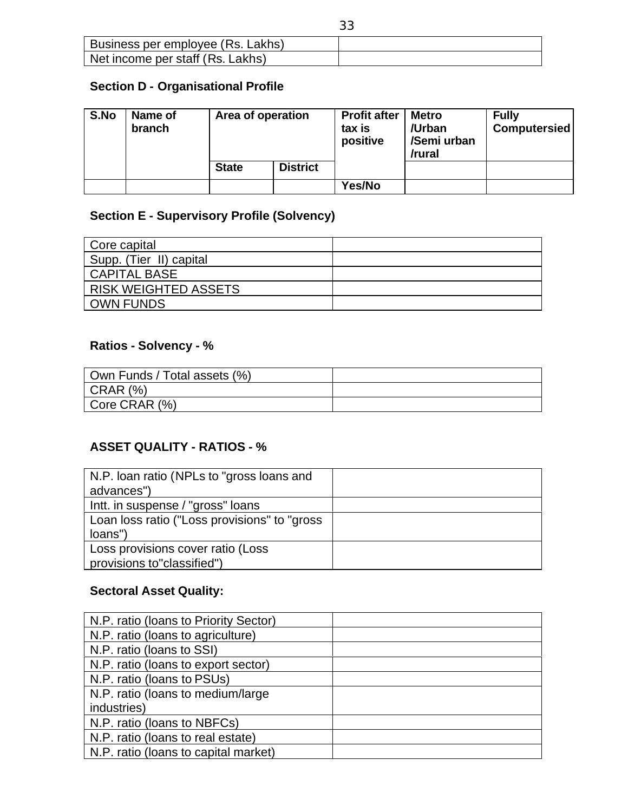| Business per employee (Rs. Lakhs) |  |
|-----------------------------------|--|
| Net income per staff (Rs. Lakhs)  |  |

### **Section D - Organisational Profile**

| S.No | Name of<br>branch | Area of operation |                 | <b>Profit after</b><br>tax is<br>positive | <b>Metro</b><br>/Urban<br>/Semi urban<br>/rural | <b>Fully</b><br><b>Computersied</b> |
|------|-------------------|-------------------|-----------------|-------------------------------------------|-------------------------------------------------|-------------------------------------|
|      |                   | <b>State</b>      | <b>District</b> |                                           |                                                 |                                     |
|      |                   |                   |                 | Yes/No                                    |                                                 |                                     |

### **Section E - Supervisory Profile (Solvency)**

| Core capital                |  |
|-----------------------------|--|
| Supp. (Tier II) capital     |  |
| <b>CAPITAL BASE</b>         |  |
| <b>RISK WEIGHTED ASSETS</b> |  |
| <b>OWN FUNDS</b>            |  |

### **Ratios - Solvency - %**

| Own Funds / Total assets (%) |  |
|------------------------------|--|
| $\vert$ CRAR (%)             |  |
| Core CRAR (%)                |  |

### **ASSET QUALITY - RATIOS - %**

| N.P. Ioan ratio (NPLs to "gross loans and    |  |
|----------------------------------------------|--|
| advances")                                   |  |
| Intt. in suspense / "gross" loans            |  |
| Loan loss ratio ("Loss provisions" to "gross |  |
| loans")                                      |  |
| Loss provisions cover ratio (Loss            |  |
| provisions to"classified")                   |  |

### **Sectoral Asset Quality:**

| N.P. ratio (Ioans to Priority Sector) |  |
|---------------------------------------|--|
| N.P. ratio (loans to agriculture)     |  |
| N.P. ratio (loans to SSI)             |  |
| N.P. ratio (loans to export sector)   |  |
| N.P. ratio (loans to PSUs)            |  |
| N.P. ratio (loans to medium/large)    |  |
| industries)                           |  |
| N.P. ratio (loans to NBFCs)           |  |
| N.P. ratio (loans to real estate)     |  |
| N.P. ratio (loans to capital market)  |  |